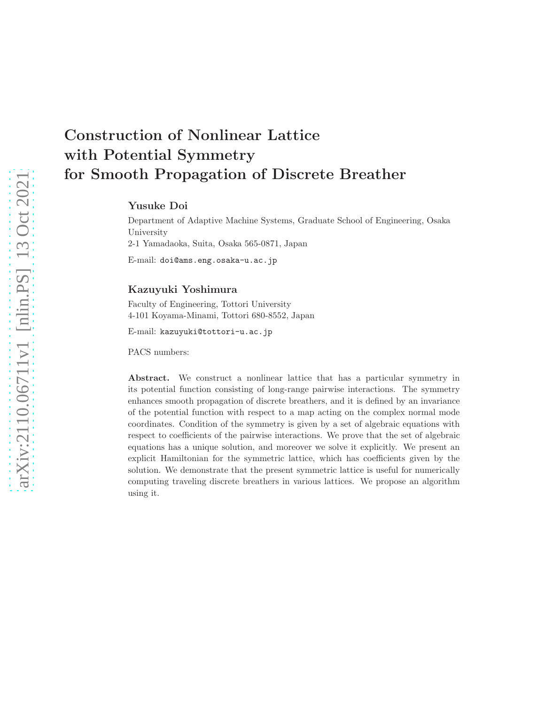# Construction of Nonlinear Lattice with Potential Symmetry for Smooth Propagation of Discrete Breather

Yusuke Doi

Department of Adaptive Machine Systems, Graduate School of Engineering, Osaka University 2-1 Yamadaoka, Suita, Osaka 565-0871, Japan

E-mail: doi@ams.eng.osaka-u.ac.jp

# Kazuyuki Yoshimura

Faculty of Engineering, Tottori University 4-101 Koyama-Minami, Tottori 680-8552, Japan

E-mail: kazuyuki@tottori-u.ac.jp

PACS numbers:

Abstract. We construct a nonlinear lattice that has a particular symmetry in its potential function consisting of long-range pairwise interactions. The symmetry enhances smooth propagation of discrete breathers, and it is defined by an invariance of the potential function with respect to a map acting on the complex normal mode coordinates. Condition of the symmetry is given by a set of algebraic equations with respect to coefficients of the pairwise interactions. We prove that the set of algebraic equations has a unique solution, and moreover we solve it explicitly. We present an explicit Hamiltonian for the symmetric lattice, which has coefficients given by the solution. We demonstrate that the present symmetric lattice is useful for numerically computing traveling discrete breathers in various lattices. We propose an algorithm using it.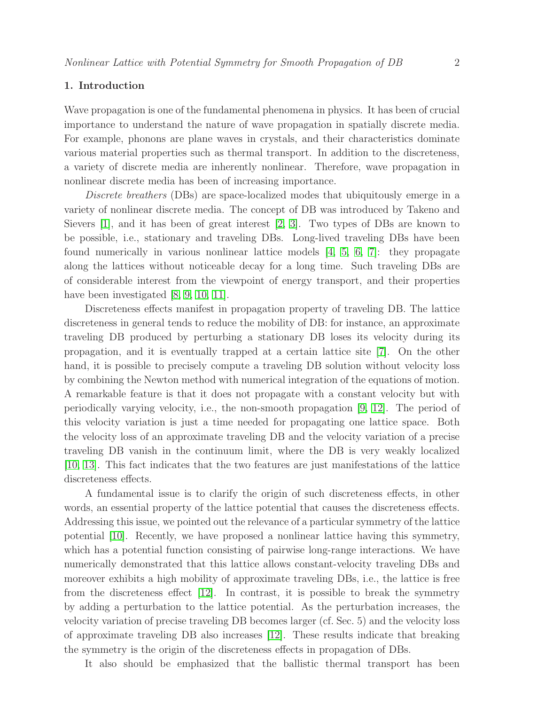# 1. Introduction

Wave propagation is one of the fundamental phenomena in physics. It has been of crucial importance to understand the nature of wave propagation in spatially discrete media. For example, phonons are plane waves in crystals, and their characteristics dominate various material properties such as thermal transport. In addition to the discreteness, a variety of discrete media are inherently nonlinear. Therefore, wave propagation in nonlinear discrete media has been of increasing importance.

*Discrete breathers* (DBs) are space-localized modes that ubiquitously emerge in a variety of nonlinear discrete media. The concept of DB was introduced by Takeno and Sievers [\[1\]](#page-34-0), and it has been of great interest [\[2,](#page-34-1) [3\]](#page-34-2). Two types of DBs are known to be possible, i.e., stationary and traveling DBs. Long-lived traveling DBs have been found numerically in various nonlinear lattice models [\[4,](#page-34-3) [5,](#page-34-4) [6,](#page-34-5) [7\]](#page-34-6): they propagate along the lattices without noticeable decay for a long time. Such traveling DBs are of considerable interest from the viewpoint of energy transport, and their properties have been investigated [\[8,](#page-34-7) [9,](#page-34-8) [10,](#page-34-9) [11\]](#page-34-10).

Discreteness effects manifest in propagation property of traveling DB. The lattice discreteness in general tends to reduce the mobility of DB: for instance, an approximate traveling DB produced by perturbing a stationary DB loses its velocity during its propagation, and it is eventually trapped at a certain lattice site [\[7\]](#page-34-6). On the other hand, it is possible to precisely compute a traveling DB solution without velocity loss by combining the Newton method with numerical integration of the equations of motion. A remarkable feature is that it does not propagate with a constant velocity but with periodically varying velocity, i.e., the non-smooth propagation [\[9,](#page-34-8) [12\]](#page-34-11). The period of this velocity variation is just a time needed for propagating one lattice space. Both the velocity loss of an approximate traveling DB and the velocity variation of a precise traveling DB vanish in the continuum limit, where the DB is very weakly localized [\[10,](#page-34-9) [13\]](#page-34-12). This fact indicates that the two features are just manifestations of the lattice discreteness effects.

A fundamental issue is to clarify the origin of such discreteness effects, in other words, an essential property of the lattice potential that causes the discreteness effects. Addressing this issue, we pointed out the relevance of a particular symmetry of the lattice potential [\[10\]](#page-34-9). Recently, we have proposed a nonlinear lattice having this symmetry, which has a potential function consisting of pairwise long-range interactions. We have numerically demonstrated that this lattice allows constant-velocity traveling DBs and moreover exhibits a high mobility of approximate traveling DBs, i.e., the lattice is free from the discreteness effect [\[12\]](#page-34-11). In contrast, it is possible to break the symmetry by adding a perturbation to the lattice potential. As the perturbation increases, the velocity variation of precise traveling DB becomes larger (cf. Sec. 5) and the velocity loss of approximate traveling DB also increases [\[12\]](#page-34-11). These results indicate that breaking the symmetry is the origin of the discreteness effects in propagation of DBs.

It also should be emphasized that the ballistic thermal transport has been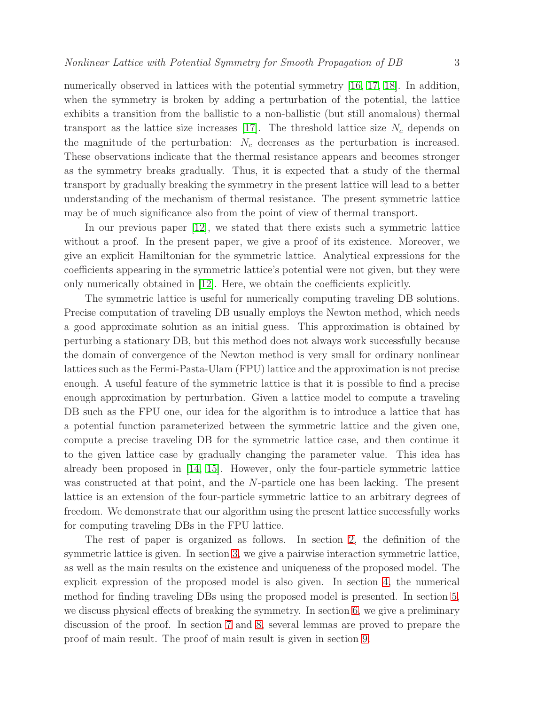numerically observed in lattices with the potential symmetry [\[16,](#page-34-13) [17,](#page-34-14) [18\]](#page-34-15). In addition, when the symmetry is broken by adding a perturbation of the potential, the lattice exhibits a transition from the ballistic to a non-ballistic (but still anomalous) thermal transport as the lattice size increases [\[17\]](#page-34-14). The threshold lattice size  $N_c$  depends on the magnitude of the perturbation:  $N_c$  decreases as the perturbation is increased. These observations indicate that the thermal resistance appears and becomes stronger as the symmetry breaks gradually. Thus, it is expected that a study of the thermal transport by gradually breaking the symmetry in the present lattice will lead to a better understanding of the mechanism of thermal resistance. The present symmetric lattice may be of much significance also from the point of view of thermal transport.

In our previous paper [\[12\]](#page-34-11), we stated that there exists such a symmetric lattice without a proof. In the present paper, we give a proof of its existence. Moreover, we give an explicit Hamiltonian for the symmetric lattice. Analytical expressions for the coefficients appearing in the symmetric lattice's potential were not given, but they were only numerically obtained in [\[12\]](#page-34-11). Here, we obtain the coefficients explicitly.

The symmetric lattice is useful for numerically computing traveling DB solutions. Precise computation of traveling DB usually employs the Newton method, which needs a good approximate solution as an initial guess. This approximation is obtained by perturbing a stationary DB, but this method does not always work successfully because the domain of convergence of the Newton method is very small for ordinary nonlinear lattices such as the Fermi-Pasta-Ulam (FPU) lattice and the approximation is not precise enough. A useful feature of the symmetric lattice is that it is possible to find a precise enough approximation by perturbation. Given a lattice model to compute a traveling DB such as the FPU one, our idea for the algorithm is to introduce a lattice that has a potential function parameterized between the symmetric lattice and the given one, compute a precise traveling DB for the symmetric lattice case, and then continue it to the given lattice case by gradually changing the parameter value. This idea has already been proposed in [\[14,](#page-34-16) [15\]](#page-34-17). However, only the four-particle symmetric lattice was constructed at that point, and the N-particle one has been lacking. The present lattice is an extension of the four-particle symmetric lattice to an arbitrary degrees of freedom. We demonstrate that our algorithm using the present lattice successfully works for computing traveling DBs in the FPU lattice.

The rest of paper is organized as follows. In section [2,](#page-3-0) the definition of the symmetric lattice is given. In section [3,](#page-4-0) we give a pairwise interaction symmetric lattice, as well as the main results on the existence and uniqueness of the proposed model. The explicit expression of the proposed model is also given. In section [4,](#page-7-0) the numerical method for finding traveling DBs using the proposed model is presented. In section [5,](#page-15-0) we discuss physical effects of breaking the symmetry. In section [6,](#page-15-1) we give a preliminary discussion of the proof. In section [7](#page-16-0) and [8,](#page-19-0) several lemmas are proved to prepare the proof of main result. The proof of main result is given in section [9.](#page-28-0)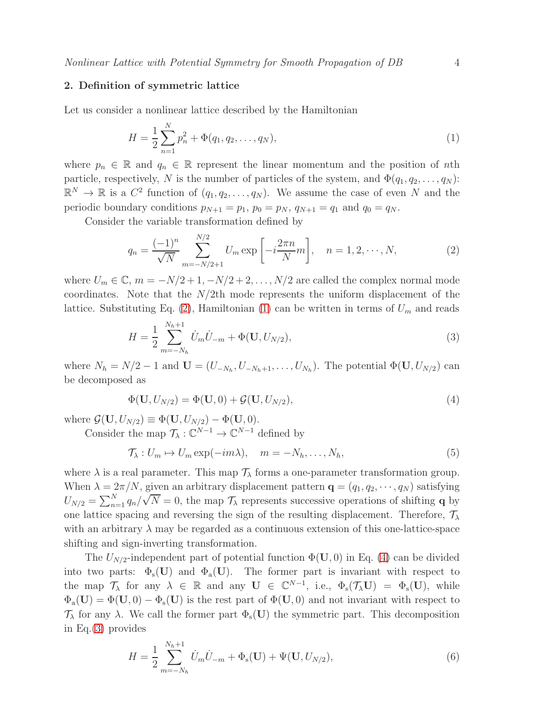# <span id="page-3-0"></span>2. Definition of symmetric lattice

Let us consider a nonlinear lattice described by the Hamiltonian

<span id="page-3-2"></span>
$$
H = \frac{1}{2} \sum_{n=1}^{N} p_n^2 + \Phi(q_1, q_2, \dots, q_N), \tag{1}
$$

where  $p_n \in \mathbb{R}$  and  $q_n \in \mathbb{R}$  represent the linear momentum and the position of nth particle, respectively, N is the number of particles of the system, and  $\Phi(q_1, q_2, \ldots, q_N)$ :  $\mathbb{R}^N \to \mathbb{R}$  is a  $C^2$  function of  $(q_1, q_2, \ldots, q_N)$ . We assume the case of even N and the periodic boundary conditions  $p_{N+1} = p_1$ ,  $p_0 = p_N$ ,  $q_{N+1} = q_1$  and  $q_0 = q_N$ .

Consider the variable transformation defined by

<span id="page-3-1"></span>
$$
q_n = \frac{(-1)^n}{\sqrt{N}} \sum_{m=-N/2+1}^{N/2} U_m \exp\left[-i\frac{2\pi n}{N}m\right], \quad n = 1, 2, \cdots, N,
$$
 (2)

where  $U_m \in \mathbb{C}$ ,  $m = -N/2 + 1, -N/2 + 2, \ldots, N/2$  are called the complex normal mode coordinates. Note that the  $N/2$ th mode represents the uniform displacement of the lattice. Substituting Eq. [\(2\)](#page-3-1), Hamiltonian [\(1\)](#page-3-2) can be written in terms of  $U_m$  and reads

<span id="page-3-4"></span>
$$
H = \frac{1}{2} \sum_{m=-N_h}^{N_h+1} \dot{U}_m \dot{U}_{-m} + \Phi(\mathbf{U}, U_{N/2}), \tag{3}
$$

where  $N_h = N/2 - 1$  and  $\mathbf{U} = (U_{-N_h}, U_{-N_h+1}, \dots, U_{N_h})$ . The potential  $\Phi(\mathbf{U}, U_{N/2})$  can be decomposed as

<span id="page-3-3"></span>
$$
\Phi(\mathbf{U}, U_{N/2}) = \Phi(\mathbf{U}, 0) + \mathcal{G}(\mathbf{U}, U_{N/2}),
$$
\n(4)

where  $\mathcal{G}(\mathbf{U}, U_{N/2}) \equiv \Phi(\mathbf{U}, U_{N/2}) - \Phi(\mathbf{U}, 0).$ 

Consider the map  $\mathcal{T}_{\lambda}: \mathbb{C}^{N-1} \to \mathbb{C}^{N-1}$  defined by

<span id="page-3-6"></span>
$$
\mathcal{T}_{\lambda}: U_m \mapsto U_m \exp(-im\lambda), \quad m = -N_h, \dots, N_h,
$$
\n(5)

where  $\lambda$  is a real parameter. This map  $\mathcal{T}_{\lambda}$  forms a one-parameter transformation group. When  $\lambda = 2\pi/N$ , given an arbitrary displacement pattern  $\mathbf{q} = (q_1, q_2, \dots, q_N)$  satisfying  $U_{N/2} = \sum_{n=1}^{N} q_n / \sqrt{N} = 0$ , the map  $\mathcal{T}_{\lambda}$  represents successive operations of shifting q by one lattice spacing and reversing the sign of the resulting displacement. Therefore,  $\mathcal{T}_{\lambda}$ with an arbitrary  $\lambda$  may be regarded as a continuous extension of this one-lattice-space shifting and sign-inverting transformation.

The  $U_{N/2}$ -independent part of potential function  $\Phi(\mathbf{U},0)$  in Eq. [\(4\)](#page-3-3) can be divided into two parts:  $\Phi_s(U)$  and  $\Phi_a(U)$ . The former part is invariant with respect to the map  $\mathcal{T}_{\lambda}$  for any  $\lambda \in \mathbb{R}$  and any  $\mathbf{U} \in \mathbb{C}^{N-1}$ , i.e.,  $\Phi_{\rm s}(\mathcal{T}_{\lambda} \mathbf{U}) = \Phi_{\rm s}(\mathbf{U})$ , while  $\Phi_{a}(U) = \Phi(U, 0) - \Phi_{s}(U)$  is the rest part of  $\Phi(U, 0)$  and not invariant with respect to  $\mathcal{T}_{\lambda}$  for any  $\lambda$ . We call the former part  $\Phi_{s}(\mathbf{U})$  the symmetric part. This decomposition in Eq.[\(3\)](#page-3-4) provides

<span id="page-3-5"></span>
$$
H = \frac{1}{2} \sum_{m=-N_h}^{N_h+1} \dot{U}_m \dot{U}_{-m} + \Phi_s(\mathbf{U}) + \Psi(\mathbf{U}, U_{N/2}), \tag{6}
$$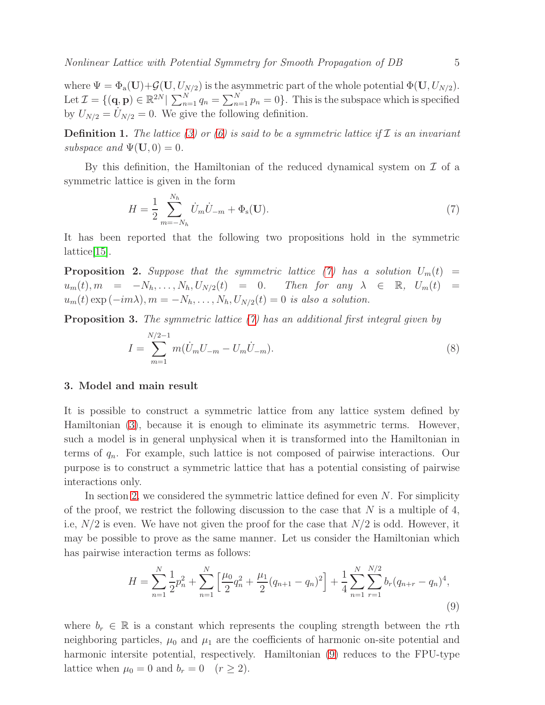where  $\Psi = \Phi_a(\mathbf{U}) + \mathcal{G}(\mathbf{U}, U_{N/2})$  is the asymmetric part of the whole potential  $\Phi(\mathbf{U}, U_{N/2})$ . Let  $\mathcal{I} = \{(\mathbf{q}, \mathbf{p}) \in \mathbb{R}^{2N} \mid \sum_{n=1}^{N} q_n = \sum_{n=1}^{N} p_n = 0\}$ . This is the subspace which is specified by  $U_{N/2} = U_{N/2} = 0$ . We give the following definition.

<span id="page-4-4"></span>**Definition 1.** The lattice [\(3\)](#page-3-4) or [\(6\)](#page-3-5) is said to be a symmetric lattice if  $\mathcal I$  is an invariant *subspace and*  $\Psi(\mathbf{U}, 0) = 0$ .

By this definition, the Hamiltonian of the reduced dynamical system on  $\mathcal I$  of a symmetric lattice is given in the form

<span id="page-4-1"></span>
$$
H = \frac{1}{2} \sum_{m=-N_h}^{N_h} \dot{U}_m \dot{U}_{-m} + \Phi_s(\mathbf{U}).
$$
 (7)

It has been reported that the following two propositions hold in the symmetric lattice[\[15\]](#page-34-17).

**Proposition 2.** Suppose that the symmetric lattice [\(7\)](#page-4-1) has a solution  $U_m(t)$  =  $u_m(t), m = -N_h, \ldots, N_h, U_{N/2}(t) = 0.$  Then for any  $\lambda \in \mathbb{R}, U_m(t) =$  $u_m(t) \exp(-im\lambda), m = -N_h, \ldots, N_h, U_{N/2}(t) = 0$  *is also a solution.* 

Proposition 3. *The symmetric lattice [\(7\)](#page-4-1) has an additional first integral given by*

<span id="page-4-3"></span>
$$
I = \sum_{m=1}^{N/2-1} m(\dot{U}_m U_{-m} - U_m \dot{U}_{-m}).
$$
\n(8)

# <span id="page-4-0"></span>3. Model and main result

It is possible to construct a symmetric lattice from any lattice system defined by Hamiltonian [\(3\)](#page-3-4), because it is enough to eliminate its asymmetric terms. However, such a model is in general unphysical when it is transformed into the Hamiltonian in terms of  $q_n$ . For example, such lattice is not composed of pairwise interactions. Our purpose is to construct a symmetric lattice that has a potential consisting of pairwise interactions only.

In section [2,](#page-3-0) we considered the symmetric lattice defined for even  $N$ . For simplicity of the proof, we restrict the following discussion to the case that  $N$  is a multiple of 4, i.e,  $N/2$  is even. We have not given the proof for the case that  $N/2$  is odd. However, it may be possible to prove as the same manner. Let us consider the Hamiltonian which has pairwise interaction terms as follows:

<span id="page-4-2"></span>
$$
H = \sum_{n=1}^{N} \frac{1}{2} p_n^2 + \sum_{n=1}^{N} \left[ \frac{\mu_0}{2} q_n^2 + \frac{\mu_1}{2} (q_{n+1} - q_n)^2 \right] + \frac{1}{4} \sum_{n=1}^{N} \sum_{r=1}^{N/2} b_r (q_{n+r} - q_n)^4,
$$
\n(9)

where  $b_r \in \mathbb{R}$  is a constant which represents the coupling strength between the rth neighboring particles,  $\mu_0$  and  $\mu_1$  are the coefficients of harmonic on-site potential and harmonic intersite potential, respectively. Hamiltonian [\(9\)](#page-4-2) reduces to the FPU-type lattice when  $\mu_0 = 0$  and  $b_r = 0$   $(r \geq 2)$ .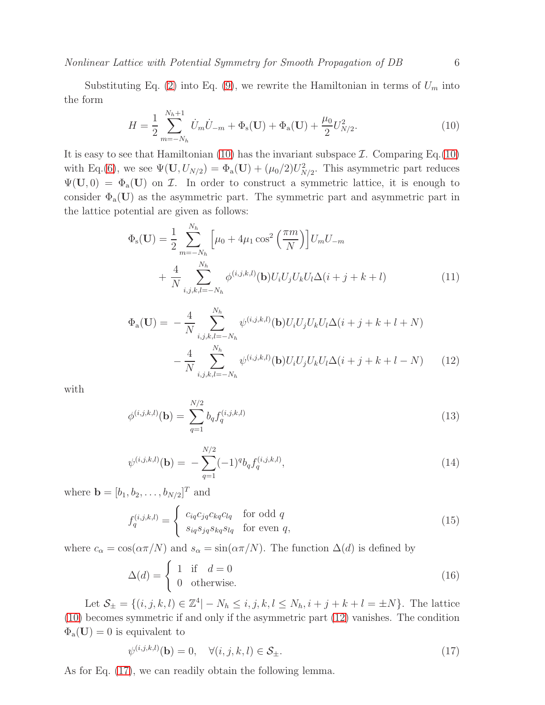Substituting Eq. [\(2\)](#page-3-1) into Eq. [\(9\)](#page-4-2), we rewrite the Hamiltonian in terms of  $U_m$  into the form

<span id="page-5-0"></span>
$$
H = \frac{1}{2} \sum_{m=-N_h}^{N_h+1} \dot{U}_m \dot{U}_{-m} + \Phi_s(\mathbf{U}) + \Phi_a(\mathbf{U}) + \frac{\mu_0}{2} U_{N/2}^2.
$$
 (10)

It is easy to see that Hamiltonian [\(10\)](#page-5-0) has the invariant subspace  $\mathcal{I}$ . Comparing Eq.[\(10\)](#page-5-0) with Eq.[\(6\)](#page-3-5), we see  $\Psi(\mathbf{U}, U_{N/2}) = \Phi_a(\mathbf{U}) + (\mu_0/2)U_{N/2}^2$ . This asymmetric part reduces  $\Psi(\mathbf{U},0) = \Phi_{\mathbf{a}}(\mathbf{U})$  on  $\mathcal{I}$ . In order to construct a symmetric lattice, it is enough to consider  $\Phi_{a}(\mathbf{U})$  as the asymmetric part. The symmetric part and asymmetric part in the lattice potential are given as follows:

$$
\Phi_{s}(\mathbf{U}) = \frac{1}{2} \sum_{m=-N_{h}}^{N_{h}} \left[ \mu_{0} + 4\mu_{1} \cos^{2}\left(\frac{\pi m}{N}\right) \right] U_{m} U_{-m} + \frac{4}{N} \sum_{i,j,k,l=-N_{h}}^{N_{h}} \phi^{(i,j,k,l)}(\mathbf{b}) U_{i} U_{j} U_{k} U_{l} \Delta(i+j+k+l)
$$
\n(11)

<span id="page-5-1"></span>
$$
\Phi_{a}(\mathbf{U}) = -\frac{4}{N} \sum_{i,j,k,l=-N_{h}}^{N_{h}} \psi^{(i,j,k,l)}(\mathbf{b}) U_{i} U_{j} U_{k} U_{l} \Delta(i+j+k+l+N) -\frac{4}{N} \sum_{i,j,k,l=-N_{h}}^{N_{h}} \psi^{(i,j,k,l)}(\mathbf{b}) U_{i} U_{j} U_{k} U_{l} \Delta(i+j+k+l-N) \qquad (12)
$$

with

$$
\phi^{(i,j,k,l)}(\mathbf{b}) = \sum_{q=1}^{N/2} b_q f_q^{(i,j,k,l)}
$$
\n(13)

$$
\psi^{(i,j,k,l)}(\mathbf{b}) = -\sum_{q=1}^{N/2} (-1)^q b_q f_q^{(i,j,k,l)}, \qquad (14)
$$

where  $\mathbf{b} = [b_1, b_2, \dots, b_{N/2}]^T$  and

$$
f_q^{(i,j,k,l)} = \begin{cases} c_{iq}c_{jq}c_{kq}c_{lq} & \text{for odd } q\\ s_{iq}s_{jq}s_{kq}s_{lq} & \text{for even } q, \end{cases}
$$
(15)

where  $c_{\alpha} = \cos(\alpha \pi/N)$  and  $s_{\alpha} = \sin(\alpha \pi/N)$ . The function  $\Delta(d)$  is defined by

$$
\Delta(d) = \begin{cases} 1 & \text{if } d = 0 \\ 0 & \text{otherwise.} \end{cases}
$$
 (16)

Let  $S_{\pm} = \{(i, j, k, l) \in \mathbb{Z}^4 | -N_h \leq i, j, k, l \leq N_h, i+j+k+l = \pm N \}$ . The lattice [\(10\)](#page-5-0) becomes symmetric if and only if the asymmetric part [\(12\)](#page-5-1) vanishes. The condition  $\Phi_{a}(U) = 0$  is equivalent to

<span id="page-5-2"></span>
$$
\psi^{(i,j,k,l)}(\mathbf{b}) = 0, \quad \forall (i,j,k,l) \in \mathcal{S}_{\pm}.
$$
\n(17)

As for Eq. [\(17\)](#page-5-2), we can readily obtain the following lemma.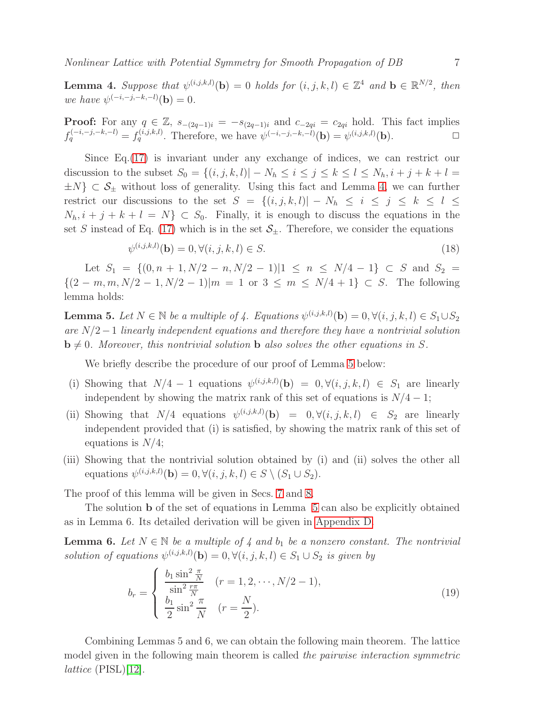<span id="page-6-0"></span>**Lemma 4.** Suppose that  $\psi^{(i,j,k,l)}(\mathbf{b}) = 0$  holds for  $(i, j, k, l) \in \mathbb{Z}^4$  and  $\mathbf{b} \in \mathbb{R}^{N/2}$ , then *we have*  $\psi^{(-i,-j,-k,-l)}(\mathbf{b}) = 0.$ 

**Proof:** For any  $q \in \mathbb{Z}$ ,  $s_{-(2q-1)i} = -s_{(2q-1)i}$  and  $c_{-2qi} = c_{2qi}$  hold. This fact implies  $f_q^{(-i,-j,-k,-l)} = f_q^{(i,j,k,l)}$ . Therefore, we have  $\psi^{(-i,-j,-k,-l)}(\mathbf{b}) = \psi^{(i,j,k,l)}(\mathbf{b})$ .

Since Eq.[\(17\)](#page-5-2) is invariant under any exchange of indices, we can restrict our discussion to the subset  $S_0 = \{(i, j, k, l) | -N_h \le i \le j \le k \le l \le N_h, i+j+k+l =$  $\pm N$ }  $\subset \mathcal{S}_{\pm}$  without loss of generality. Using this fact and Lemma [4,](#page-6-0) we can further restrict our discussions to the set  $S = \{(i, j, k, l) | -N_h \le i \le j \le k \le l \le$  $N_h$ ,  $i + j + k + l = N$   $\subset S_0$ . Finally, it is enough to discuss the equations in the set S instead of Eq. [\(17\)](#page-5-2) which is in the set  $S_{\pm}$ . Therefore, we consider the equations

<span id="page-6-3"></span>
$$
\psi^{(i,j,k,l)}(\mathbf{b}) = 0, \forall (i,j,k,l) \in S. \tag{18}
$$

Let  $S_1 = \{(0, n + 1, N/2 - n, N/2 - 1)|1 \le n \le N/4 - 1\} \subset S$  and  $S_2 =$  $\{(2 - m, m, N/2 - 1, N/2 - 1)|m = 1 \text{ or } 3 \leq m \leq N/4 + 1\} \subset S$ . The following lemma holds:

<span id="page-6-1"></span>**Lemma 5.** Let  $N \in \mathbb{N}$  be a multiple of 4. Equations  $\psi^{(i,j,k,l)}(\mathbf{b}) = 0, \forall (i,j,k,l) \in S_1 \cup S_2$ *are* N/2−1 *linearly independent equations and therefore they have a nontrivial solution*  $\mathbf{b} \neq 0$ *. Moreover, this nontrivial solution* **b** *also solves the other equations in* S.

We briefly describe the procedure of our proof of Lemma [5](#page-6-1) below:

- (i) Showing that  $N/4 1$  equations  $\psi^{(i,j,k,l)}(\mathbf{b}) = 0, \forall (i,j,k,l) \in S_1$  are linearly independent by showing the matrix rank of this set of equations is  $N/4 - 1$ ;
- (ii) Showing that  $N/4$  equations  $\psi^{(i,j,k,l)}(\mathbf{b}) = 0, \forall (i,j,k,l) \in S_2$  are linearly independent provided that (i) is satisfied, by showing the matrix rank of this set of equations is  $N/4$ ;
- (iii) Showing that the nontrivial solution obtained by (i) and (ii) solves the other all equations  $\psi^{(i,j,k,l)}(\mathbf{b}) = 0, \forall (i,j,k,l) \in S \setminus (S_1 \cup S_2).$

The proof of this lemma will be given in Secs. [7](#page-16-0) and [8.](#page-19-0)

The solution b of the set of equations in Lemma [5](#page-6-1) can also be explicitly obtained as in Lemma 6. Its detailed derivation will be given in [Appendix D.](#page-31-0)

**Lemma 6.** Let  $N \in \mathbb{N}$  be a multiple of 4 and  $b_1$  be a nonzero constant. The nontrivial solution of equations  $\psi^{(i,j,k,l)}(\mathbf{b}) = 0, \forall (i,j,k,l) \in S_1 \cup S_2$  is given by

<span id="page-6-2"></span>
$$
b_r = \begin{cases} \frac{b_1 \sin^2 \frac{\pi}{N}}{\sin^2 \frac{r\pi}{N}} & (r = 1, 2, \cdots, N/2 - 1),\\ \frac{b_1}{2} \sin^2 \frac{\pi}{N} & (r = \frac{N}{2}). \end{cases} \tag{19}
$$

Combining Lemmas 5 and 6, we can obtain the following main theorem. The lattice model given in the following main theorem is called *the pairwise interaction symmetric lattice* (PISL)[\[12\]](#page-34-11).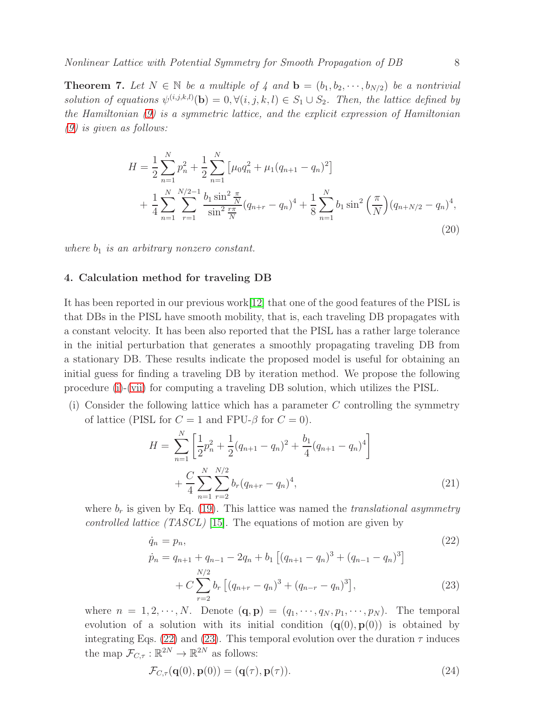**Theorem 7.** Let  $N \in \mathbb{N}$  be a multiple of 4 and  $\mathbf{b} = (b_1, b_2, \dots, b_{N/2})$  be a nontrivial solution of equations  $\psi^{(i,j,k,l)}(\mathbf{b}) = 0, \forall (i,j,k,l) \in S_1 \cup S_2$ . Then, the lattice defined by *the Hamiltonian [\(9\)](#page-4-2) is a symmetric lattice, and the explicit expression of Hamiltonian [\(9\)](#page-4-2) is given as follows:*

<span id="page-7-3"></span>
$$
H = \frac{1}{2} \sum_{n=1}^{N} p_n^2 + \frac{1}{2} \sum_{n=1}^{N} \left[ \mu_0 q_n^2 + \mu_1 (q_{n+1} - q_n)^2 \right]
$$
  
+ 
$$
\frac{1}{4} \sum_{n=1}^{N} \sum_{r=1}^{N/2-1} \frac{b_1 \sin^2 \frac{\pi}{N}}{\sin^2 \frac{r\pi}{N}} (q_{n+r} - q_n)^4 + \frac{1}{8} \sum_{n=1}^{N} b_1 \sin^2 \left( \frac{\pi}{N} \right) (q_{n+N/2} - q_n)^4,
$$
(20)

<span id="page-7-0"></span>*where*  $b_1$  *is an arbitrary nonzero constant.* 

## 4. Calculation method for traveling DB

It has been reported in our previous work[\[12\]](#page-34-11) that one of the good features of the PISL is that DBs in the PISL have smooth mobility, that is, each traveling DB propagates with a constant velocity. It has been also reported that the PISL has a rather large tolerance in the initial perturbation that generates a smoothly propagating traveling DB from a stationary DB. These results indicate the proposed model is useful for obtaining an initial guess for finding a traveling DB by iteration method. We propose the following procedure [\(i\)](#page-7-1)-[\(vii\)](#page-9-0) for computing a traveling DB solution, which utilizes the PISL.

(i) Consider the following lattice which has a parameter  $C$  controlling the symmetry of lattice (PISL for  $C = 1$  and FPU- $\beta$  for  $C = 0$ ).

$$
H = \sum_{n=1}^{N} \left[ \frac{1}{2} p_n^2 + \frac{1}{2} (q_{n+1} - q_n)^2 + \frac{b_1}{4} (q_{n+1} - q_n)^4 \right] + \frac{C}{4} \sum_{n=1}^{N} \sum_{r=2}^{N/2} b_r (q_{n+r} - q_n)^4,
$$
\n(21)

where  $b_r$  is given by Eq. [\(19\)](#page-6-2). This lattice was named the *translational asymmetry controlled lattice (TASCL)* [\[15\]](#page-34-17). The equations of motion are given by

<span id="page-7-2"></span>
$$
\dot{q}_n = p_n,
$$
\n
$$
\dot{p}_n = q_{n+1} + q_{n-1} - 2q_n + b_1 \left[ (q_{n+1} - q_n)^3 + (q_{n-1} - q_n)^3 \right]
$$
\n
$$
+ C \sum_{r=2}^{N/2} b_r \left[ (q_{n+r} - q_n)^3 + (q_{n-r} - q_n)^3 \right],
$$
\n(23)

where  $n = 1, 2, \dots, N$ . Denote  $(\mathbf{q}, \mathbf{p}) = (q_1, \dots, q_N, p_1, \dots, p_N)$ . The temporal evolution of a solution with its initial condition  $(q(0), p(0))$  is obtained by integrating Eqs. [\(22\)](#page-7-2) and [\(23\)](#page-7-2). This temporal evolution over the duration  $\tau$  induces the map  $\mathcal{F}_{C,\tau}: \mathbb{R}^{2N} \to \mathbb{R}^{2N}$  as follows:

<span id="page-7-1"></span>
$$
\mathcal{F}_{C,\tau}(\mathbf{q}(0),\mathbf{p}(0)) = (\mathbf{q}(\tau),\mathbf{p}(\tau)).
$$
\n(24)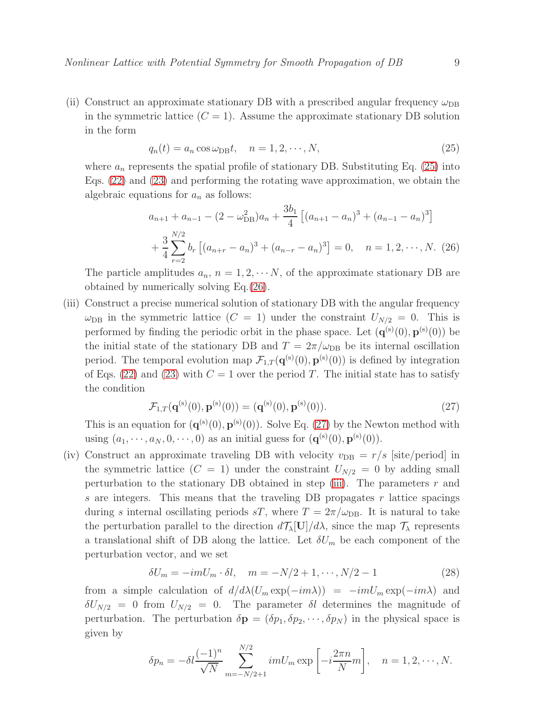(ii) Construct an approximate stationary DB with a prescribed angular frequency  $\omega_{\text{DB}}$ in the symmetric lattice  $(C = 1)$ . Assume the approximate stationary DB solution in the form

<span id="page-8-0"></span>
$$
q_n(t) = a_n \cos \omega_{\text{DB}} t, \quad n = 1, 2, \cdots, N,
$$
\n<sup>(25)</sup>

where  $a_n$  represents the spatial profile of stationary DB. Substituting Eq. [\(25\)](#page-8-0) into Eqs. [\(22\)](#page-7-2) and [\(23\)](#page-7-2) and performing the rotating wave approximation, we obtain the algebraic equations for  $a_n$  as follows:

<span id="page-8-1"></span>
$$
a_{n+1} + a_{n-1} - (2 - \omega_{DB}^2)a_n + \frac{3b_1}{4} [(a_{n+1} - a_n)^3 + (a_{n-1} - a_n)^3]
$$
  
+ 
$$
\frac{3}{4} \sum_{r=2}^{N/2} b_r [(a_{n+r} - a_n)^3 + (a_{n-r} - a_n)^3] = 0, \quad n = 1, 2, \dots, N. \tag{26}
$$

The particle amplitudes  $a_n$ ,  $n = 1, 2, \cdots N$ , of the approximate stationary DB are obtained by numerically solving Eq.[\(26\)](#page-8-1).

(iii) Construct a precise numerical solution of stationary DB with the angular frequency  $\omega_{\text{DB}}$  in the symmetric lattice  $(C = 1)$  under the constraint  $U_{N/2} = 0$ . This is performed by finding the periodic orbit in the phase space. Let  $(\mathbf{q}^{(s)}(0), \mathbf{p}^{(s)}(0))$  be the initial state of the stationary DB and  $T = 2\pi/\omega_{\text{DB}}$  be its internal oscillation period. The temporal evolution map  $\mathcal{F}_{1,T}(\mathbf{q}^{(s)}(0), \mathbf{p}^{(s)}(0))$  is defined by integration of Eqs. [\(22\)](#page-7-2) and [\(23\)](#page-7-2) with  $C = 1$  over the period T. The initial state has to satisfy the condition

<span id="page-8-2"></span>
$$
\mathcal{F}_{1,T}(\mathbf{q}^{(s)}(0),\mathbf{p}^{(s)}(0)) = (\mathbf{q}^{(s)}(0),\mathbf{p}^{(s)}(0)).
$$
\n(27)

This is an equation for  $(\mathbf{q}^{(s)}(0), \mathbf{p}^{(s)}(0))$ . Solve Eq. [\(27\)](#page-8-2) by the Newton method with using  $(a_1, \dots, a_N, 0, \dots, 0)$  as an initial guess for  $(\mathbf{q}^{(\mathrm{s})}(0), \mathbf{p}^{(\mathrm{s})}(0))$ .

(iv) Construct an approximate traveling DB with velocity  $v_{DB} = r/s$  [site/period] in the symmetric lattice  $(C = 1)$  under the constraint  $U_{N/2} = 0$  by adding small perturbation to the stationary DB obtained in step [\(iii\)](#page-8-2). The parameters  $r$  and s are integers. This means that the traveling DB propagates  $r$  lattice spacings during s internal oscillating periods sT, where  $T = 2\pi/\omega_{\text{DB}}$ . It is natural to take the perturbation parallel to the direction  $d\mathcal{T}_{\lambda}[\mathbf{U}]/d\lambda$ , since the map  $\mathcal{T}_{\lambda}$  represents a translational shift of DB along the lattice. Let  $\delta U_m$  be each component of the perturbation vector, and we set

$$
\delta U_m = -imU_m \cdot \delta l, \quad m = -N/2 + 1, \cdots, N/2 - 1 \tag{28}
$$

from a simple calculation of  $d/d\lambda (U_m \exp(-im\lambda)) = -imU_m \exp(-im\lambda)$  and  $\delta U_{N/2} = 0$  from  $U_{N/2} = 0$ . The parameter  $\delta l$  determines the magnitude of perturbation. The perturbation  $\delta \mathbf{p} = (\delta p_1, \delta p_2, \cdots, \delta p_N)$  in the physical space is given by

<span id="page-8-3"></span>
$$
\delta p_n = -\delta l \frac{(-1)^n}{\sqrt{N}} \sum_{m=-N/2+1}^{N/2} imU_m \exp\left[-i\frac{2\pi n}{N}m\right], \quad n = 1, 2, \cdots, N.
$$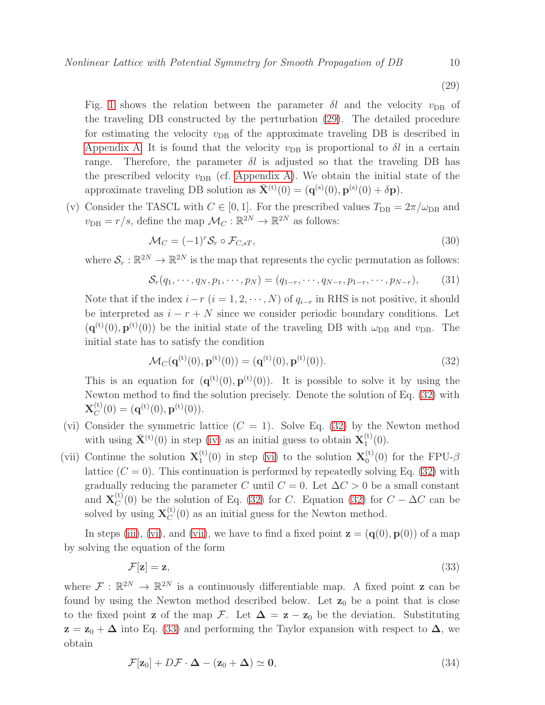(29)

Fig. [1](#page-12-0) shows the relation between the parameter  $\delta l$  and the velocity  $v_{\text{DB}}$  of the traveling DB constructed by the perturbation [\(29\)](#page-8-3). The detailed procedure for estimating the velocity  $v_{DB}$  of the approximate traveling DB is described in [Appendix A.](#page-29-0) It is found that the velocity  $v_{DB}$  is proportional to  $\delta l$  in a certain range. Therefore, the parameter  $\delta l$  is adjusted so that the traveling DB has the prescribed velocity  $v_{DB}$  (cf. [Appendix A\)](#page-29-0). We obtain the initial state of the approximate traveling DB solution as  $\bar{\mathbf{X}}^{(t)}(0) = (\mathbf{q}^{(s)}(0), \mathbf{p}^{(s)}(0) + \delta \mathbf{p}).$ 

(v) Consider the TASCL with  $C \in [0, 1]$ . For the prescribed values  $T_{\text{DB}} = 2\pi/\omega_{\text{DB}}$  and  $v_{\text{DB}} = r/s$ , define the map  $\mathcal{M}_C : \mathbb{R}^{2N} \to \mathbb{R}^{2N}$  as follows:

$$
\mathcal{M}_C = (-1)^r \mathcal{S}_r \circ \mathcal{F}_{C,sT},\tag{30}
$$

where  $S_r : \mathbb{R}^{2N} \to \mathbb{R}^{2N}$  is the map that represents the cyclic permutation as follows:

<span id="page-9-5"></span>
$$
S_r(q_1, \cdots, q_N, p_1, \cdots, p_N) = (q_{1-r}, \cdots, q_{N-r}, p_{1-r}, \cdots, p_{N-r}),
$$
 (31)

Note that if the index  $i-r$   $(i = 1, 2, \dots, N)$  of  $q_{i-r}$  in RHS is not positive, it should be interpreted as  $i - r + N$  since we consider periodic boundary conditions. Let  $(q^{(t)}(0), p^{(t)}(0))$  be the initial state of the traveling DB with  $\omega_{\text{DB}}$  and  $v_{\text{DB}}$ . The initial state has to satisfy the condition

<span id="page-9-1"></span>
$$
\mathcal{M}_C(\mathbf{q}^{(t)}(0), \mathbf{p}^{(t)}(0)) = (\mathbf{q}^{(t)}(0), \mathbf{p}^{(t)}(0)).
$$
\n(32)

This is an equation for  $(q^{(t)}(0), p^{(t)}(0))$ . It is possible to solve it by using the Newton method to find the solution precisely. Denote the solution of Eq. [\(32\)](#page-9-1) with  $\mathbf{X}^{(\text{t})}_C$  $C^{(t)}(0) = (\mathbf{q}^{(t)}(0), \mathbf{p}^{(t)}(0)).$ 

- <span id="page-9-2"></span>(vi) Consider the symmetric lattice  $(C = 1)$ . Solve Eq. [\(32\)](#page-9-1) by the Newton method with using  $\bar{\mathbf{X}}^{(t)}(0)$  in step [\(iv\)](#page-8-3) as an initial guess to obtain  $\mathbf{X}_1^{(t)}$  $\binom{1}{1}$  $(0)$ .
- <span id="page-9-0"></span>(vii) Continue the solution  $\mathbf{X}_1^{(t)}$  $\mathbf{X}_1^{(t)}(0)$  in step [\(vi\)](#page-9-2) to the solution  $\mathbf{X}_0^{(t)}$  $_{0}^{(0)}(0)$  for the FPU- $\beta$ lattice  $(C = 0)$ . This continuation is performed by repeatedly solving Eq. [\(32\)](#page-9-1) with gradually reducing the parameter C until  $C = 0$ . Let  $\Delta C > 0$  be a small constant and  $\mathbf{X}_C^{(t)}$  $C^{(0)}_C(0)$  be the solution of Eq. [\(32\)](#page-9-1) for C. Equation (32) for  $C - \Delta C$  can be solved by using  $X_C^{(t)}$  $C^{(1)}(0)$  as an initial guess for the Newton method.

In steps [\(iii\)](#page-8-2), [\(vi\)](#page-9-2), and [\(vii\)](#page-9-0), we have to find a fixed point  $\mathbf{z} = (\mathbf{q}(0), \mathbf{p}(0))$  of a map by solving the equation of the form

<span id="page-9-3"></span>
$$
\mathcal{F}[\mathbf{z}] = \mathbf{z},\tag{33}
$$

where  $\mathcal{F}: \mathbb{R}^{2N} \to \mathbb{R}^{2N}$  is a continuously differentiable map. A fixed point **z** can be found by using the Newton method described below. Let  $z_0$  be a point that is close to the fixed point **z** of the map F. Let  $\Delta = \mathbf{z} - \mathbf{z}_0$  be the deviation. Substituting  $z = z_0 + \Delta$  into Eq. [\(33\)](#page-9-3) and performing the Taylor expansion with respect to  $\Delta$ , we obtain

<span id="page-9-4"></span>
$$
\mathcal{F}[\mathbf{z}_0] + D\mathcal{F} \cdot \mathbf{\Delta} - (\mathbf{z}_0 + \mathbf{\Delta}) \simeq \mathbf{0},\tag{34}
$$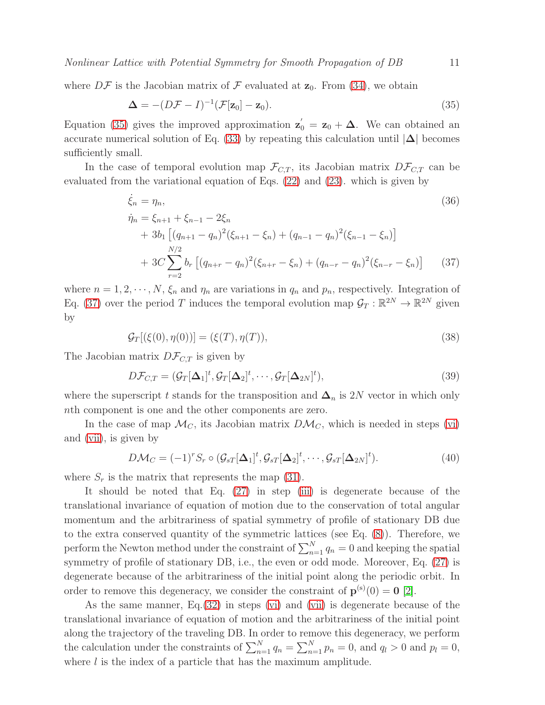where  $D\mathcal{F}$  is the Jacobian matrix of  $\mathcal F$  evaluated at  $\mathbf{z}_0$ . From [\(34\)](#page-9-4), we obtain

<span id="page-10-0"></span>
$$
\Delta = -(D\mathcal{F} - I)^{-1}(\mathcal{F}[\mathbf{z}_0] - \mathbf{z}_0). \tag{35}
$$

Equation [\(35\)](#page-10-0) gives the improved approximation  $z'_0 = z_0 + \Delta$ . We can obtained an accurate numerical solution of Eq. [\(33\)](#page-9-3) by repeating this calculation until  $|\Delta|$  becomes sufficiently small.

In the case of temporal evolution map  $\mathcal{F}_{C,T}$ , its Jacobian matrix  $D\mathcal{F}_{C,T}$  can be evaluated from the variational equation of Eqs. [\(22\)](#page-7-2) and [\(23\)](#page-7-2). which is given by

<span id="page-10-1"></span>
$$
\dot{\xi}_n = \eta_n,
$$
\n
$$
\dot{\eta}_n = \xi_{n+1} + \xi_{n-1} - 2\xi_n
$$
\n
$$
+ 3b_1 \left[ (q_{n+1} - q_n)^2 (\xi_{n+1} - \xi_n) + (q_{n-1} - q_n)^2 (\xi_{n-1} - \xi_n) \right]
$$
\n
$$
+ 3C \sum_{r=2}^{N/2} b_r \left[ (q_{n+r} - q_n)^2 (\xi_{n+r} - \xi_n) + (q_{n-r} - q_n)^2 (\xi_{n-r} - \xi_n) \right]
$$
\n(37)

where  $n = 1, 2, \dots, N$ ,  $\xi_n$  and  $\eta_n$  are variations in  $q_n$  and  $p_n$ , respectively. Integration of Eq. [\(37\)](#page-10-1) over the period T induces the temporal evolution map  $\mathcal{G}_T : \mathbb{R}^{2N} \to \mathbb{R}^{2N}$  given by

$$
\mathcal{G}_T[(\xi(0), \eta(0))] = (\xi(T), \eta(T)),\tag{38}
$$

The Jacobian matrix  $D\mathcal{F}_{C,T}$  is given by

$$
D\mathcal{F}_{C,T} = (\mathcal{G}_T[\Delta_1]^t, \mathcal{G}_T[\Delta_2]^t, \cdots, \mathcal{G}_T[\Delta_{2N}]^t),
$$
\n(39)

where the superscript t stands for the transposition and  $\Delta_n$  is 2N vector in which only nth component is one and the other components are zero.

In the case of map  $\mathcal{M}_C$ , its Jacobian matrix  $D\mathcal{M}_C$ , which is needed in steps [\(vi\)](#page-9-2) and [\(vii\)](#page-9-0), is given by

$$
D\mathcal{M}_C = (-1)^r S_r \circ (\mathcal{G}_{sT}[\Delta_1]^t, \mathcal{G}_{sT}[\Delta_2]^t, \cdots, \mathcal{G}_{sT}[\Delta_{2N}]^t).
$$
(40)

where  $S_r$  is the matrix that represents the map [\(31\)](#page-9-5).

It should be noted that Eq. [\(27\)](#page-8-2) in step [\(iii\)](#page-8-2) is degenerate because of the translational invariance of equation of motion due to the conservation of total angular momentum and the arbitrariness of spatial symmetry of profile of stationary DB due to the extra conserved quantity of the symmetric lattices (see Eq. [\(8\)](#page-4-3)). Therefore, we perform the Newton method under the constraint of  $\sum_{n=1}^{N} q_n = 0$  and keeping the spatial symmetry of profile of stationary DB, i.e., the even or odd mode. Moreover, Eq. [\(27\)](#page-8-2) is degenerate because of the arbitrariness of the initial point along the periodic orbit. In order to remove this degeneracy, we consider the constraint of  $\mathbf{p}^{(s)}(0) = \mathbf{0}$  [\[2\]](#page-34-1).

As the same manner, Eq.[\(32\)](#page-9-1) in steps [\(vi\)](#page-9-2) and [\(vii\)](#page-9-0) is degenerate because of the translational invariance of equation of motion and the arbitrariness of the initial point along the trajectory of the traveling DB. In order to remove this degeneracy, we perform the calculation under the constraints of  $\sum_{n=1}^{N} q_n = \sum_{n=1}^{N} p_n = 0$ , and  $q_l > 0$  and  $p_l = 0$ , where  $l$  is the index of a particle that has the maximum amplitude.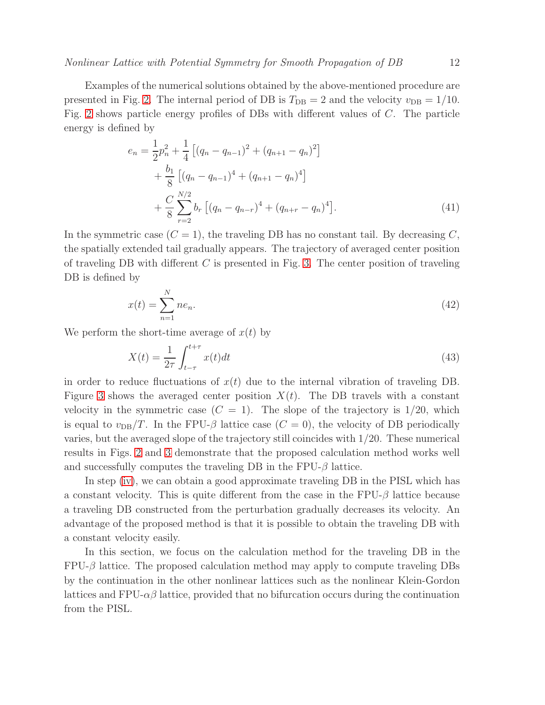Examples of the numerical solutions obtained by the above-mentioned procedure are presented in Fig. [2.](#page-13-0) The internal period of DB is  $T_{\text{DB}} = 2$  and the velocity  $v_{\text{DB}} = 1/10$ . Fig. [2](#page-13-0) shows particle energy profiles of DBs with different values of C. The particle energy is defined by

$$
e_n = \frac{1}{2}p_n^2 + \frac{1}{4} \left[ (q_n - q_{n-1})^2 + (q_{n+1} - q_n)^2 \right] + \frac{b_1}{8} \left[ (q_n - q_{n-1})^4 + (q_{n+1} - q_n)^4 \right] + \frac{C}{8} \sum_{r=2}^{N/2} b_r \left[ (q_n - q_{n-r})^4 + (q_{n+r} - q_n)^4 \right].
$$
 (41)

In the symmetric case  $(C = 1)$ , the traveling DB has no constant tail. By decreasing C, the spatially extended tail gradually appears. The trajectory of averaged center position of traveling DB with different  $C$  is presented in Fig. [3.](#page-14-0) The center position of traveling DB is defined by

$$
x(t) = \sum_{n=1}^{N} ne_n.
$$
\n
$$
(42)
$$

We perform the short-time average of  $x(t)$  by

$$
X(t) = \frac{1}{2\tau} \int_{t-\tau}^{t+\tau} x(t)dt
$$
\n(43)

in order to reduce fluctuations of  $x(t)$  due to the internal vibration of traveling DB. Figure [3](#page-14-0) shows the averaged center position  $X(t)$ . The DB travels with a constant velocity in the symmetric case  $(C = 1)$ . The slope of the trajectory is 1/20, which is equal to  $v_{\text{DB}}/T$ . In the FPU- $\beta$  lattice case  $(C = 0)$ , the velocity of DB periodically varies, but the averaged slope of the trajectory still coincides with 1/20. These numerical results in Figs. [2](#page-13-0) and [3](#page-14-0) demonstrate that the proposed calculation method works well and successfully computes the traveling DB in the  $FPU-\beta$  lattice.

In step [\(iv\)](#page-8-3), we can obtain a good approximate traveling DB in the PISL which has a constant velocity. This is quite different from the case in the  $FPU-\beta$  lattice because a traveling DB constructed from the perturbation gradually decreases its velocity. An advantage of the proposed method is that it is possible to obtain the traveling DB with a constant velocity easily.

In this section, we focus on the calculation method for the traveling DB in the  $FPU-\beta$  lattice. The proposed calculation method may apply to compute traveling DBs by the continuation in the other nonlinear lattices such as the nonlinear Klein-Gordon lattices and FPU- $\alpha\beta$  lattice, provided that no bifurcation occurs during the continuation from the PISL.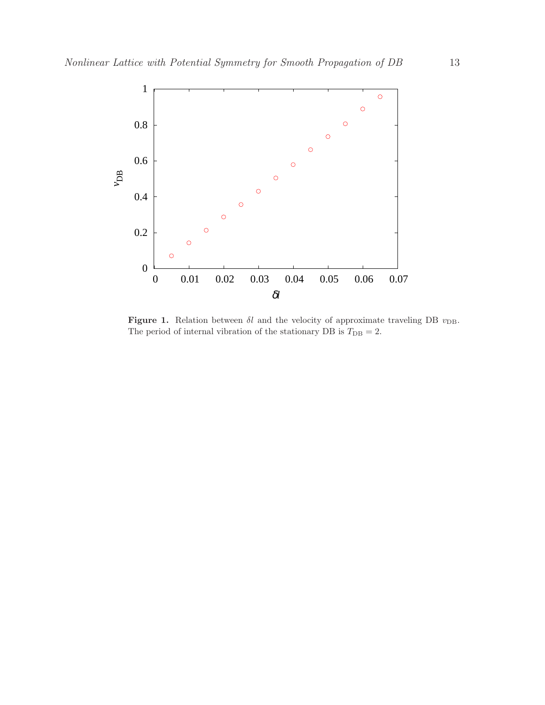

<span id="page-12-0"></span>Figure 1. Relation between  $\delta l$  and the velocity of approximate traveling DB  $v_{\text{DB}}$ . The period of internal vibration of the stationary DB is  $T_{\rm DB} = 2.$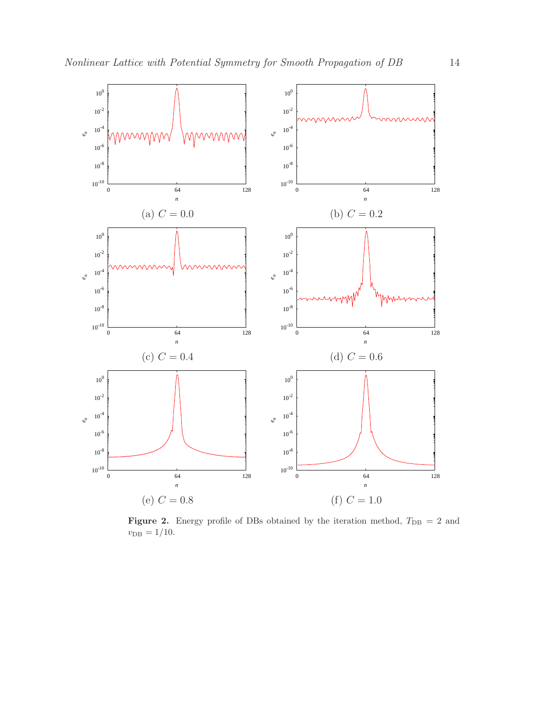

<span id="page-13-0"></span>Figure 2. Energy profile of DBs obtained by the iteration method,  $T_{\text{DB}} = 2$  and  $v_{\rm DB} = 1/10.$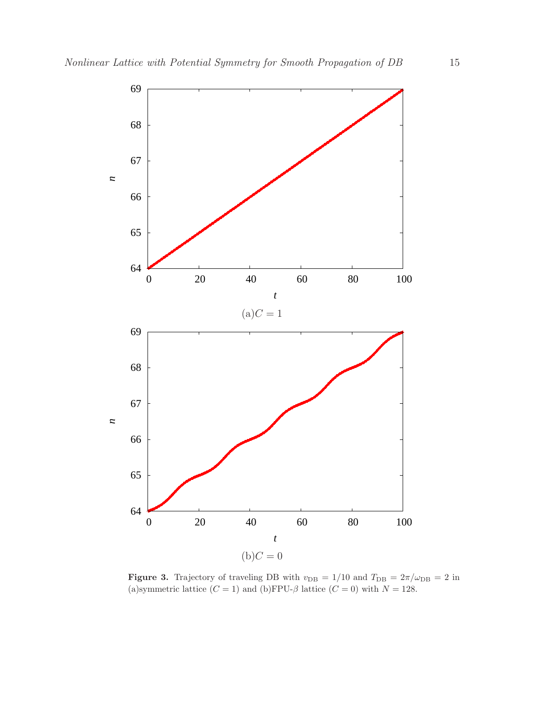

<span id="page-14-0"></span>**Figure 3.** Trajectory of traveling DB with  $v_{\text{DB}} = 1/10$  and  $T_{\text{DB}} = 2\pi/\omega_{\text{DB}} = 2$  in (a)symmetric lattice  $(C = 1)$  and (b)FPU- $\beta$  lattice  $(C = 0)$  with  $N = 128$ .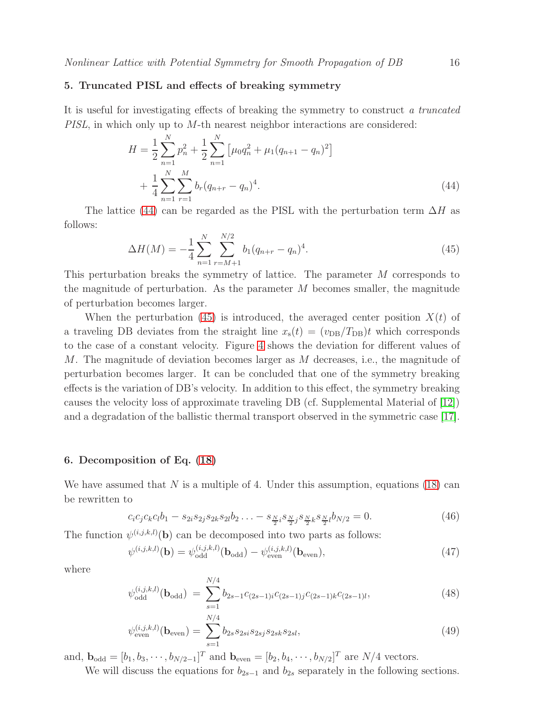# <span id="page-15-0"></span>5. Truncated PISL and effects of breaking symmetry

It is useful for investigating effects of breaking the symmetry to construct *a truncated PISL*, in which only up to M-th nearest neighbor interactions are considered:

<span id="page-15-2"></span>
$$
H = \frac{1}{2} \sum_{n=1}^{N} p_n^2 + \frac{1}{2} \sum_{n=1}^{N} \left[ \mu_0 q_n^2 + \mu_1 (q_{n+1} - q_n)^2 \right] + \frac{1}{4} \sum_{n=1}^{N} \sum_{r=1}^{M} b_r (q_{n+r} - q_n)^4.
$$
 (44)

The lattice [\(44\)](#page-15-2) can be regarded as the PISL with the perturbation term  $\Delta H$  as follows:

<span id="page-15-3"></span>
$$
\Delta H(M) = -\frac{1}{4} \sum_{n=1}^{N} \sum_{r=M+1}^{N/2} b_1 (q_{n+r} - q_n)^4.
$$
\n(45)

This perturbation breaks the symmetry of lattice. The parameter M corresponds to the magnitude of perturbation. As the parameter  $M$  becomes smaller, the magnitude of perturbation becomes larger.

When the perturbation [\(45\)](#page-15-3) is introduced, the averaged center position  $X(t)$  of a traveling DB deviates from the straight line  $x_{s}(t) = (v_{DB}/T_{DB})t$  which corresponds to the case of a constant velocity. Figure [4](#page-16-1) shows the deviation for different values of M. The magnitude of deviation becomes larger as M decreases, i.e., the magnitude of perturbation becomes larger. It can be concluded that one of the symmetry breaking effects is the variation of DB's velocity. In addition to this effect, the symmetry breaking causes the velocity loss of approximate traveling DB (cf. Supplemental Material of [\[12\]](#page-34-11)) and a degradation of the ballistic thermal transport observed in the symmetric case [\[17\]](#page-34-14).

## <span id="page-15-1"></span>6. Decomposition of Eq. [\(18\)](#page-6-3)

We have assumed that  $N$  is a multiple of 4. Under this assumption, equations [\(18\)](#page-6-3) can be rewritten to

$$
c_i c_j c_k c_l b_1 - s_{2i} s_{2j} s_{2k} s_{2l} b_2 \dots - s_{\frac{N}{2}i} s_{\frac{N}{2}j} s_{\frac{N}{2}k} s_{\frac{N}{2}l} b_{N/2} = 0.
$$
 (46)

The function  $\psi^{(i,j,k,l)}(\mathbf{b})$  can be decomposed into two parts as follows:

$$
\psi^{(i,j,k,l)}(\mathbf{b}) = \psi_{\text{odd}}^{(i,j,k,l)}(\mathbf{b}_{\text{odd}}) - \psi_{\text{even}}^{(i,j,k,l)}(\mathbf{b}_{\text{even}}),\tag{47}
$$

where

$$
\psi_{\text{odd}}^{(i,j,k,l)}(\mathbf{b}_{\text{odd}}) = \sum_{s=1}^{N/4} b_{2s-1} c_{(2s-1)i} c_{(2s-1)j} c_{(2s-1)k} c_{(2s-1)l},\tag{48}
$$

$$
\psi_{\text{even}}^{(i,j,k,l)}(\mathbf{b}_{\text{even}}) = \sum_{s=1}^{N/4} b_{2s} s_{2si} s_{2sj} s_{2sk} s_{2sl},\tag{49}
$$

and,  $\mathbf{b}_{\text{odd}} = [b_1, b_3, \cdots, b_{N/2-1}]^T$  and  $\mathbf{b}_{\text{even}} = [b_2, b_4, \cdots, b_{N/2}]^T$  are  $N/4$  vectors.

We will discuss the equations for  $b_{2s-1}$  and  $b_{2s}$  separately in the following sections.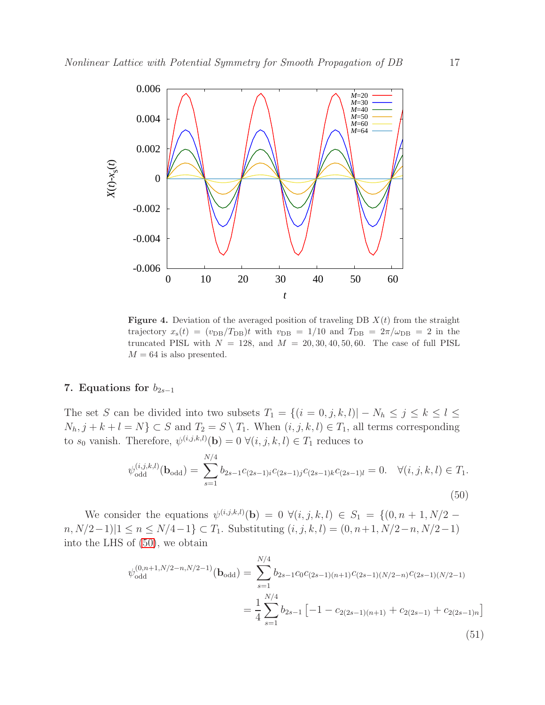

<span id="page-16-1"></span>**Figure 4.** Deviation of the averaged position of traveling DB  $X(t)$  from the straight trajectory  $x_s(t) = (v_{DB}/T_{DB})t$  with  $v_{DB} = 1/10$  and  $T_{DB} = 2\pi/\omega_{DB} = 2$  in the truncated PISL with  $N = 128$ , and  $M = 20, 30, 40, 50, 60$ . The case of full PISL  $M = 64$  is also presented.

# <span id="page-16-0"></span>7. Equations for  $b_{2s-1}$

The set S can be divided into two subsets  $T_1 = \{(i = 0, j, k, l) | -N_h \leq j \leq k \leq l \leq k \leq l \leq k \leq l \leq k \leq l \leq k \leq l \leq k \leq l \leq k \leq l \leq k \leq l \leq k \leq l \leq k \leq l \leq k \leq l \leq k \leq l \leq k \leq l \leq k \leq l \leq k \leq l \leq k \leq l \leq k \leq l \leq k \leq l \leq k \leq l \$  $N_h, j + k + l = N$   $\subset S$  and  $T_2 = S \setminus T_1$ . When  $(i, j, k, l) \in T_1$ , all terms corresponding to  $s_0$  vanish. Therefore,  $\psi^{(i,j,k,l)}(\mathbf{b}) = 0 \ \forall (i,j,k,l) \in T_1$  reduces to

<span id="page-16-2"></span>
$$
\psi_{\text{odd}}^{(i,j,k,l)}(\mathbf{b}_{\text{odd}}) = \sum_{s=1}^{N/4} b_{2s-1} c_{(2s-1)i} c_{(2s-1)j} c_{(2s-1)k} c_{(2s-1)l} = 0. \quad \forall (i,j,k,l) \in T_1.
$$
\n(50)

We consider the equations  $\psi^{(i,j,k,l)}(\mathbf{b}) = 0 \ \forall (i,j,k,l) \in S_1 = \{ (0,n+1,N/2 - 1) \}$  $n, N/2-1$ | $1 ≤ n ≤ N/4-1$ } ⊂  $T_1$ . Substituting  $(i, j, k, l) = (0, n+1, N/2-n, N/2-1)$ into the LHS of [\(50\)](#page-16-2), we obtain

$$
\psi_{\text{odd}}^{(0,n+1,N/2-n,N/2-1)}(\mathbf{b}_{\text{odd}}) = \sum_{s=1}^{N/4} b_{2s-1} c_0 c_{(2s-1)(n+1)} c_{(2s-1)(N/2-n)} c_{(2s-1)(N/2-1)}
$$

$$
= \frac{1}{4} \sum_{s=1}^{N/4} b_{2s-1} \left[ -1 - c_{2(2s-1)(n+1)} + c_{2(2s-1)} + c_{2(2s-1)n} \right]
$$
(51)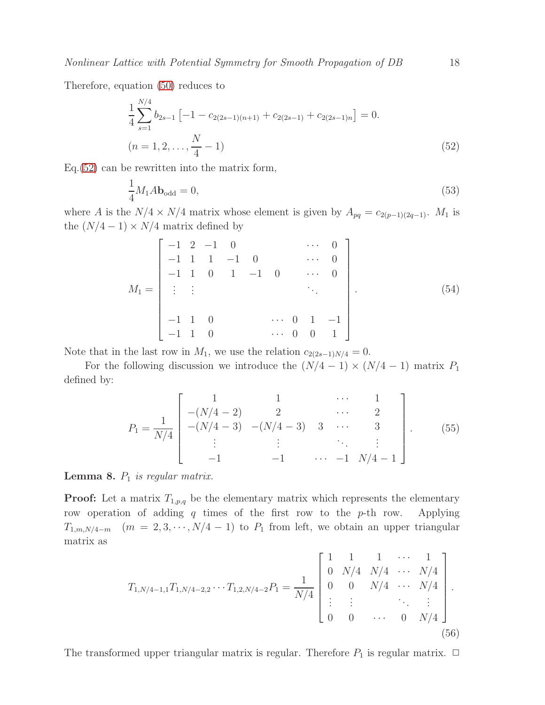Therefore, equation [\(50\)](#page-16-2) reduces to

<span id="page-17-0"></span>
$$
\frac{1}{4} \sum_{s=1}^{N/4} b_{2s-1} \left[ -1 - c_{2(2s-1)(n+1)} + c_{2(2s-1)} + c_{2(2s-1)n} \right] = 0.
$$
\n
$$
(n = 1, 2, \dots, \frac{N}{4} - 1)
$$
\n(52)

Eq.[\(52\)](#page-17-0) can be rewritten into the matrix form,

<span id="page-17-1"></span>
$$
\frac{1}{4}M_1A\mathbf{b}_{\text{odd}} = 0,\t\t(53)
$$

where A is the  $N/4 \times N/4$  matrix whose element is given by  $A_{pq} = c_{2(p-1)(2q-1)}$ . M<sub>1</sub> is the  $(N/4 - 1) \times N/4$  matrix defined by

$$
M_1 = \begin{bmatrix} -1 & 2 & -1 & 0 & & & \cdots & 0 \\ -1 & 1 & 1 & -1 & 0 & & \cdots & 0 \\ -1 & 1 & 0 & 1 & -1 & 0 & & \cdots & 0 \\ \vdots & \vdots & & & & & \ddots & \\ -1 & 1 & 0 & & & & \cdots & 0 & 1 & -1 \\ -1 & 1 & 0 & & & & \cdots & 0 & 0 & 1 \end{bmatrix} .
$$
 (54)

Note that in the last row in  $M_1$ , we use the relation  $c_{2(2s-1)N/4} = 0$ .

For the following discussion we introduce the  $(N/4 - 1) \times (N/4 - 1)$  matrix  $P_1$ defined by:

$$
P_1 = \frac{1}{N/4} \begin{bmatrix} 1 & 1 & \cdots & 1 \\ -(N/4 - 2) & 2 & \cdots & 2 \\ -(N/4 - 3) & -(N/4 - 3) & 3 & \cdots & 3 \\ \vdots & \vdots & \ddots & \vdots \\ -1 & -1 & \cdots & -1 & N/4 - 1 \end{bmatrix} .
$$
 (55)

Lemma 8. P<sup>1</sup> *is regular matrix.*

**Proof:** Let a matrix  $T_{1,p,q}$  be the elementary matrix which represents the elementary row operation of adding  $q$  times of the first row to the  $p$ -th row. Applying  $T_{1,m,N/4-m}$  ( $m = 2,3,\dots, N/4-1$ ) to  $P_1$  from left, we obtain an upper triangular matrix as

$$
T_{1,N/4-1,1}T_{1,N/4-2,2}\cdots T_{1,2,N/4-2}P_1 = \frac{1}{N/4} \begin{bmatrix} 1 & 1 & 1 & \cdots & 1 \\ 0 & N/4 & N/4 & \cdots & N/4 \\ 0 & 0 & N/4 & \cdots & N/4 \\ \vdots & \vdots & & \ddots & \vdots \\ 0 & 0 & \cdots & 0 & N/4 \end{bmatrix} .
$$
\n(56)

The transformed upper triangular matrix is regular. Therefore  $P_1$  is regular matrix.  $\Box$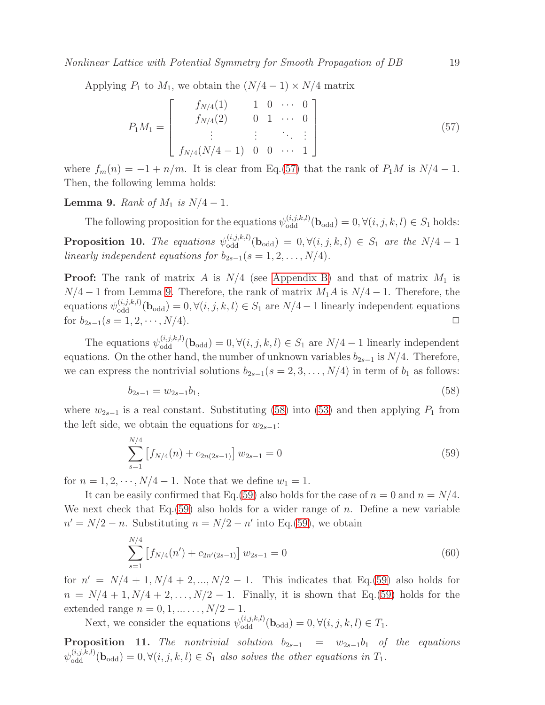Applying  $P_1$  to  $M_1$ , we obtain the  $(N/4-1) \times N/4$  matrix

<span id="page-18-0"></span>
$$
P_1 M_1 = \begin{bmatrix} f_{N/4}(1) & 1 & 0 & \cdots & 0 \\ f_{N/4}(2) & 0 & 1 & \cdots & 0 \\ \vdots & \vdots & \vdots & \ddots & \vdots \\ f_{N/4}(N/4-1) & 0 & 0 & \cdots & 1 \end{bmatrix}
$$
(57)

where  $f_m(n) = -1 + n/m$ . It is clear from Eq.[\(57\)](#page-18-0) that the rank of  $P_1M$  is  $N/4 - 1$ . Then, the following lemma holds:

<span id="page-18-1"></span>**Lemma 9.** *Rank of*  $M_1$  *is*  $N/4 - 1$ *.* 

<span id="page-18-4"></span>The following proposition for the equations  $\psi_{\text{odd}}^{(i,j,k,l)}(\mathbf{b}_{\text{odd}}) = 0, \forall (i,j,k,l) \in S_1$  holds: **Proposition 10.** The equations  $\psi_{\text{odd}}^{(i,j,k,l)}(\mathbf{b}_{\text{odd}}) = 0, \forall (i,j,k,l) \in S_1$  are the  $N/4-1$ *linearly independent equations for*  $b_{2s-1}(s = 1, 2, \ldots, N/4)$ *.* 

**Proof:** The rank of matrix A is  $N/4$  (see [Appendix B\)](#page-30-0) and that of matrix  $M_1$  is  $N/4 - 1$  from Lemma [9.](#page-18-1) Therefore, the rank of matrix  $M_1A$  is  $N/4 - 1$ . Therefore, the equations  $\psi_{\text{odd}}^{(i,j,k,l)}(\mathbf{b}_{\text{odd}}) = 0, \forall (i,j,k,l) \in S_1$  are  $N/4-1$  linearly independent equations for  $b_{2s-1}(s = 1, 2, \cdots, N/4)$ . 
<br>
□

The equations  $\psi_{\text{odd}}^{(i,j,k,l)}(\mathbf{b}_{\text{odd}}) = 0, \forall (i,j,k,l) \in S_1$  are  $N/4-1$  linearly independent equations. On the other hand, the number of unknown variables  $b_{2s-1}$  is  $N/4$ . Therefore, we can express the nontrivial solutions  $b_{2s-1}(s = 2, 3, \ldots, N/4)$  in term of  $b_1$  as follows:

<span id="page-18-2"></span>
$$
b_{2s-1} = w_{2s-1}b_1,\tag{58}
$$

where  $w_{2s-1}$  is a real constant. Substituting [\(58\)](#page-18-2) into [\(53\)](#page-17-1) and then applying  $P_1$  from the left side, we obtain the equations for  $w_{2s-1}$ :

<span id="page-18-3"></span>
$$
\sum_{s=1}^{N/4} \left[ f_{N/4}(n) + c_{2n(2s-1)} \right] w_{2s-1} = 0 \tag{59}
$$

for  $n = 1, 2, \dots, N/4 - 1$ . Note that we define  $w_1 = 1$ .

It can be easily confirmed that Eq.[\(59\)](#page-18-3) also holds for the case of  $n = 0$  and  $n = N/4$ . We next check that Eq.  $(59)$  also holds for a wider range of n. Define a new variable  $n' = N/2 - n$ . Substituting  $n = N/2 - n'$  into Eq.[\(59\)](#page-18-3), we obtain

$$
\sum_{s=1}^{N/4} \left[ f_{N/4}(n') + c_{2n'(2s-1)} \right] w_{2s-1} = 0 \tag{60}
$$

for  $n' = N/4 + 1, N/4 + 2, ..., N/2 - 1$ . This indicates that Eq.[\(59\)](#page-18-3) also holds for  $n = N/4 + 1, N/4 + 2, \ldots, N/2 - 1$ . Finally, it is shown that Eq.[\(59\)](#page-18-3) holds for the extended range  $n = 0, 1, ..., N/2 - 1$ .

Next, we consider the equations  $\psi_{\text{odd}}^{(i,j,k,l)}(\mathbf{b}_{\text{odd}}) = 0, \forall (i,j,k,l) \in T_1$ .

<span id="page-18-5"></span>**Proposition 11.** *The nontrivial solution*  $b_{2s-1} = w_{2s-1}b_1$  *of the equations*  $\psi_{\text{odd}}^{(i,j,k,l)}(\mathbf{b}_{\text{odd}}) = 0, \forall (i,j,k,l) \in S_1$  also solves the other equations in  $T_1$ .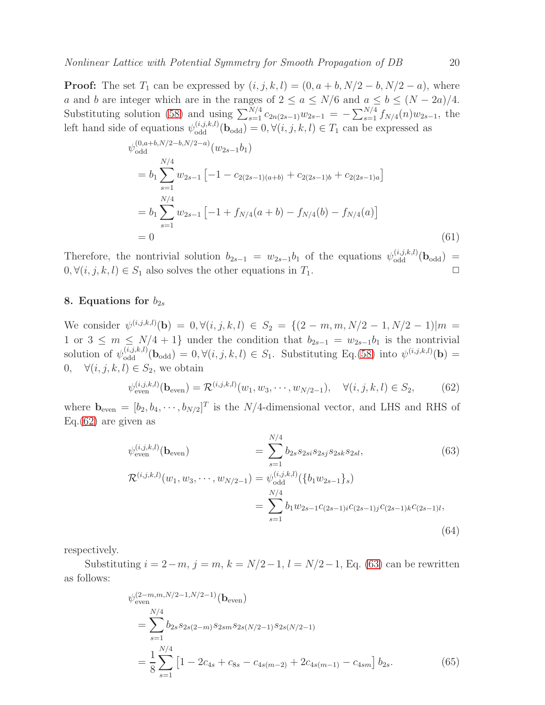**Proof:** The set  $T_1$  can be expressed by  $(i, j, k, l) = (0, a + b, N/2 - b, N/2 - a)$ , where a and b are integer which are in the ranges of  $2 \le a \le N/6$  and  $a \le b \le (N - 2a)/4$ . Substituting solution [\(58\)](#page-18-2) and using  $\sum_{s=1}^{N/4} c_{2n(2s-1)}w_{2s-1} = -\sum_{s=1}^{N/4} f_{N/4}(n)w_{2s-1}$ , the left hand side of equations  $\psi_{odd}^{(i,j,k,l)}(\mathbf{b}_{odd}) = 0, \forall (i,j,k,l) \in T_1$  can be expressed as

$$
\psi_{\text{odd}}^{(0,a+b,N/2-b,N/2-a)}(w_{2s-1}b_1)
$$
\n
$$
= b_1 \sum_{s=1}^{N/4} w_{2s-1} \left[ -1 - c_{2(2s-1)(a+b)} + c_{2(2s-1)b} + c_{2(2s-1)a} \right]
$$
\n
$$
= b_1 \sum_{s=1}^{N/4} w_{2s-1} \left[ -1 + f_{N/4}(a+b) - f_{N/4}(b) - f_{N/4}(a) \right]
$$
\n
$$
= 0
$$
\n(61)

Therefore, the nontrivial solution  $b_{2s-1} = w_{2s-1}b_1$  of the equations  $\psi_{odd}^{(i,j,k,l)}(\mathbf{b}_{odd}) =$  $0, \forall (i, j, k, l) \in S_1$  also solves the other equations in  $T_1$ .

# <span id="page-19-0"></span>8. Equations for  $b_{2s}$

We consider  $\psi^{(i,j,k,l)}(\mathbf{b}) = 0, \forall (i,j,k,l) \in S_2 = \{ (2-m,m,N/2-1,N/2-1) | m =$ 1 or  $3 \leq m \leq N/4 + 1$ } under the condition that  $b_{2s-1} = w_{2s-1}b_1$  is the nontrivial solution of  $\psi_{\text{odd}}^{(i,j,k,l)}(\mathbf{b}_{\text{odd}}) = 0, \forall (i,j,k,l) \in S_1$ . Substituting Eq.[\(58\)](#page-18-2) into  $\psi^{(i,j,k,l)}(\mathbf{b}) =$ 0,  $\forall (i, j, k, l) \in S_2$ , we obtain

<span id="page-19-1"></span>
$$
\psi_{\text{even}}^{(i,j,k,l)}(\mathbf{b}_{\text{even}}) = \mathcal{R}^{(i,j,k,l)}(w_1, w_3, \cdots, w_{N/2-1}), \quad \forall (i,j,k,l) \in S_2,
$$
 (62)

where  $\mathbf{b}_{\text{even}} = [b_2, b_4, \cdots, b_{N/2}]^T$  is the N/4-dimensional vector, and LHS and RHS of Eq.[\(62\)](#page-19-1) are given as

<span id="page-19-2"></span>
$$
\psi_{\text{even}}^{(i,j,k,l)}(\mathbf{b}_{\text{even}}) = \sum_{s=1}^{N/4} b_{2s} s_{2si} s_{2sj} s_{2sk} s_{2sl},
$$
\n(63)  
\n
$$
\mathcal{R}^{(i,j,k,l)}(w_1, w_3, \cdots, w_{N/2-1}) = \psi_{\text{odd}}^{(i,j,k,l)}(\{b_1 w_{2s-1}\}_s)
$$
\n
$$
= \sum_{s=1}^{N/4} b_1 w_{2s-1} c_{(2s-1)i} c_{(2s-1)j} c_{(2s-1)k} c_{(2s-1)l},
$$
\n(64)

respectively.

Substituting  $i = 2-m$ ,  $j = m$ ,  $k = N/2-1$ ,  $l = N/2-1$ , Eq. [\(63\)](#page-19-2) can be rewritten as follows:

$$
\psi_{\text{even}}^{(2-m,m,N/2-1,N/2-1)}(\mathbf{b}_{\text{even}})
$$
\n
$$
= \sum_{s=1}^{N/4} b_{2s} s_{2s(2-m)} s_{2sm} s_{2s(N/2-1)} s_{2s(N/2-1)}
$$
\n
$$
= \frac{1}{8} \sum_{s=1}^{N/4} \left[ 1 - 2c_{4s} + c_{8s} - c_{4s(m-2)} + 2c_{4s(m-1)} - c_{4sm} \right] b_{2s}.
$$
\n(65)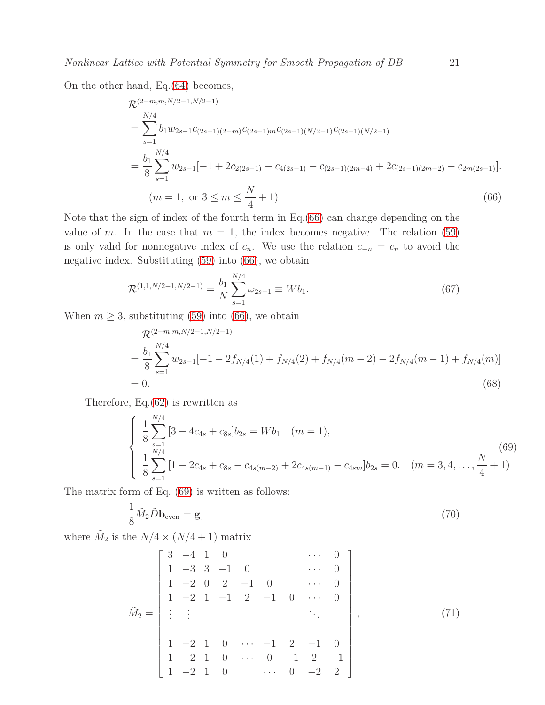On the other hand, Eq.[\(64\)](#page-19-2) becomes,

<span id="page-20-0"></span>
$$
\mathcal{R}^{(2-m,m,N/2-1,N/2-1)}\n= \sum_{s=1}^{N/4} b_1 w_{2s-1} c_{(2s-1)(2-m)} c_{(2s-1)m} c_{(2s-1)(N/2-1)} c_{(2s-1)(N/2-1)}\n= \frac{b_1}{8} \sum_{s=1}^{N/4} w_{2s-1} [-1 + 2c_{2(2s-1)} - c_{4(2s-1)} - c_{(2s-1)(2m-4)} + 2c_{(2s-1)(2m-2)} - c_{2m(2s-1)}].
$$
\n
$$
(m = 1, \text{ or } 3 \le m \le \frac{N}{4} + 1)
$$
\n(66)

Note that the sign of index of the fourth term in Eq.[\(66\)](#page-20-0) can change depending on the value of m. In the case that  $m = 1$ , the index becomes negative. The relation [\(59\)](#page-18-3) is only valid for nonnegative index of  $c_n$ . We use the relation  $c_{-n} = c_n$  to avoid the negative index. Substituting [\(59\)](#page-18-3) into [\(66\)](#page-20-0), we obtain

<span id="page-20-3"></span>
$$
\mathcal{R}^{(1,1,N/2-1,N/2-1)} = \frac{b_1}{N} \sum_{s=1}^{N/4} \omega_{2s-1} \equiv W b_1.
$$
\n(67)

When  $m \geq 3$ , substituting [\(59\)](#page-18-3) into [\(66\)](#page-20-0), we obtain

$$
\mathcal{R}^{(2-m,m,N/2-1,N/2-1)}\n= \frac{b_1}{8} \sum_{s=1}^{N/4} w_{2s-1}[-1 - 2f_{N/4}(1) + f_{N/4}(2) + f_{N/4}(m-2) - 2f_{N/4}(m-1) + f_{N/4}(m)]\n= 0.
$$
\n(68)

Therefore, Eq.[\(62\)](#page-19-1) is rewritten as

<span id="page-20-1"></span>
$$
\begin{cases}\n\frac{1}{8} \sum_{s=1}^{N/4} \left[ 3 - 4c_{4s} + c_{8s} \right] b_{2s} = W b_1 \quad (m = 1), \\
\frac{1}{8} \sum_{s=1}^{N/4} \left[ 1 - 2c_{4s} + c_{8s} - c_{4s(m-2)} + 2c_{4s(m-1)} - c_{4sm} \right] b_{2s} = 0. \quad (m = 3, 4, \dots, \frac{N}{4} + 1)\n\end{cases}
$$
\n(69)

The matrix form of Eq. [\(69\)](#page-20-1) is written as follows:

<span id="page-20-2"></span>
$$
\frac{1}{8}\tilde{M}_2\tilde{D}\mathbf{b}_{\text{even}} = \mathbf{g},\tag{70}
$$

where  $\tilde{M}_2$  is the  $N/4 \times (N/4 + 1)$  matrix

$$
\tilde{M}_2 = \begin{bmatrix}\n3 & -4 & 1 & 0 & & & \cdots & 0 \\
1 & -3 & 3 & -1 & 0 & & \cdots & 0 \\
1 & -2 & 0 & 2 & -1 & 0 & & \cdots & 0 \\
1 & -2 & 1 & -1 & 2 & -1 & 0 & \cdots & 0 \\
\vdots & \vdots & & & & & \ddots & \\
1 & -2 & 1 & 0 & \cdots & -1 & 2 & -1 & 0 \\
1 & -2 & 1 & 0 & \cdots & 0 & -1 & 2 & -1 \\
1 & -2 & 1 & 0 & & \cdots & 0 & -2 & 2\n\end{bmatrix},
$$
\n(71)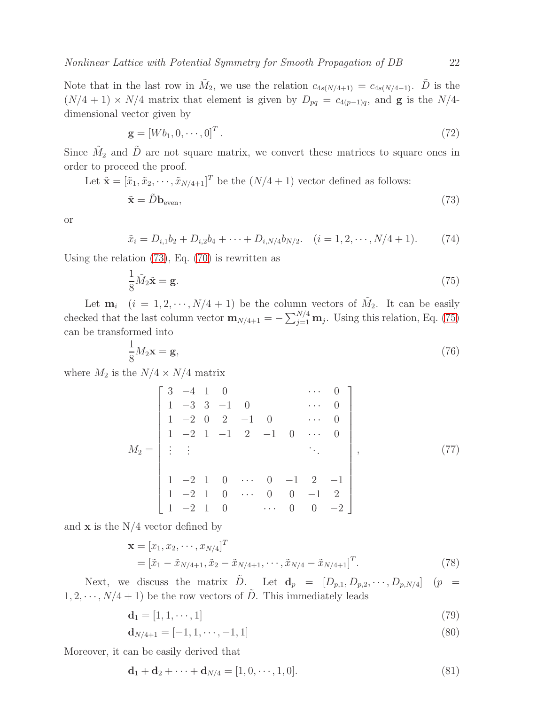Note that in the last row in  $\tilde{M}_2$ , we use the relation  $c_{4s(N/4+1)} = c_{4s(N/4-1)}$ .  $\tilde{D}$  is the  $(N/4 + 1) \times N/4$  matrix that element is given by  $D_{pq} = c_{4(p-1)q}$ , and **g** is the N/4dimensional vector given by

$$
\mathbf{g} = [Wb_1, 0, \cdots, 0]^T. \tag{72}
$$

Since  $\tilde{M}_2$  and  $\tilde{D}$  are not square matrix, we convert these matrices to square ones in order to proceed the proof.

Let 
$$
\tilde{\mathbf{x}} = [\tilde{x}_1, \tilde{x}_2, \cdots, \tilde{x}_{N/4+1}]^T
$$
 be the  $(N/4 + 1)$  vector defined as follows:

<span id="page-21-0"></span>
$$
\tilde{\mathbf{x}} = \tilde{D} \mathbf{b}_{\text{even}},\tag{73}
$$

or

<span id="page-21-2"></span>
$$
\tilde{x}_i = D_{i,1}b_2 + D_{i,2}b_4 + \dots + D_{i,N/4}b_{N/2}.
$$
 (i = 1, 2, \dots, N/4 + 1). (74)

Using the relation [\(73\)](#page-21-0), Eq. [\(70\)](#page-20-2) is rewritten as

<span id="page-21-1"></span>
$$
\frac{1}{8}\tilde{M}_2\tilde{\mathbf{x}} = \mathbf{g}.\tag{75}
$$

Let  $\mathbf{m}_i$   $(i = 1, 2, \cdots, N/4 + 1)$  be the column vectors of  $\tilde{M}_2$ . It can be easily checked that the last column vector  $\mathbf{m}_{N/4+1} = -\sum_{j=1}^{N/4} \mathbf{m}_j$ . Using this relation, Eq. [\(75\)](#page-21-1) can be transformed into

<span id="page-21-4"></span>
$$
\frac{1}{8}M_2\mathbf{x} = \mathbf{g},\tag{76}
$$

where  $M_2$  is the  $N/4 \times N/4$  matrix

$$
M_2 = \begin{bmatrix} 3 & -4 & 1 & 0 & & & \cdots & 0 \\ 1 & -3 & 3 & -1 & 0 & & & \cdots & 0 \\ 1 & -2 & 0 & 2 & -1 & 0 & & \cdots & 0 \\ 1 & -2 & 1 & -1 & 2 & -1 & 0 & \cdots & 0 \\ \vdots & \vdots & & & & & \ddots & \\ 1 & -2 & 1 & 0 & \cdots & 0 & -1 & 2 & -1 \\ 1 & -2 & 1 & 0 & & \cdots & 0 & 0 & -1 & 2 \\ 1 & -2 & 1 & 0 & & \cdots & 0 & 0 & -2 \end{bmatrix},
$$
(77)

and  $\bf{x}$  is the N/4 vector defined by

<span id="page-21-3"></span>
$$
\mathbf{x} = [x_1, x_2, \cdots, x_{N/4}]^T
$$
  
=  $[\tilde{x}_1 - \tilde{x}_{N/4+1}, \tilde{x}_2 - \tilde{x}_{N/4+1}, \cdots, \tilde{x}_{N/4} - \tilde{x}_{N/4+1}]^T$ . (78)

Next, we discuss the matrix  $\tilde{D}$ . Let  $\mathbf{d}_p = [D_{p,1}, D_{p,2}, \cdots, D_{p,N/4}]$   $(p =$  $1, 2, \dots, N/4 + 1$ ) be the row vectors of  $\tilde{D}$ . This immediately leads

$$
\mathbf{d}_1 = [1, 1, \cdots, 1] \tag{79}
$$

$$
\mathbf{d}_{N/4+1} = [-1, 1, \cdots, -1, 1] \tag{80}
$$

Moreover, it can be easily derived that

$$
\mathbf{d}_1 + \mathbf{d}_2 + \dots + \mathbf{d}_{N/4} = [1, 0, \dots, 1, 0].
$$
\n(81)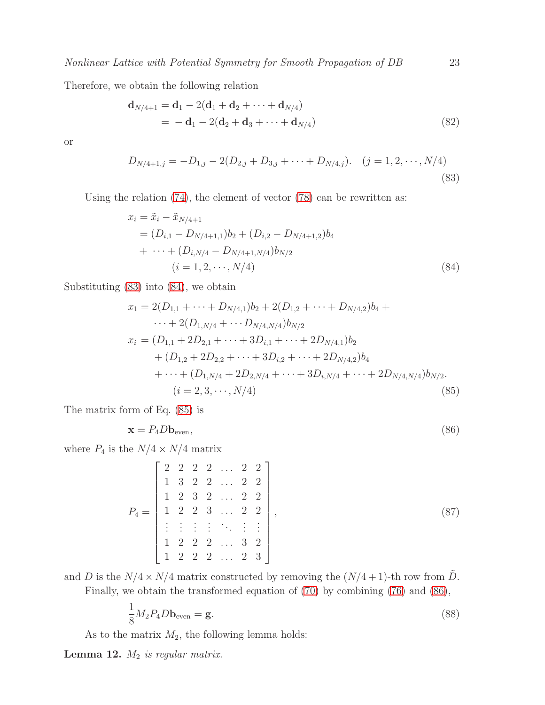Therefore, we obtain the following relation

$$
\mathbf{d}_{N/4+1} = \mathbf{d}_1 - 2(\mathbf{d}_1 + \mathbf{d}_2 + \dots + \mathbf{d}_{N/4})
$$
  
=  $-\mathbf{d}_1 - 2(\mathbf{d}_2 + \mathbf{d}_3 + \dots + \mathbf{d}_{N/4})$  (82)

or

<span id="page-22-0"></span>
$$
D_{N/4+1,j} = -D_{1,j} - 2(D_{2,j} + D_{3,j} + \dots + D_{N/4,j}). \quad (j = 1, 2, \dots, N/4)
$$
\n(83)

Using the relation [\(74\)](#page-21-2), the element of vector [\(78\)](#page-21-3) can be rewritten as:

<span id="page-22-1"></span>
$$
x_i = \tilde{x}_i - \tilde{x}_{N/4+1}
$$
  
=  $(D_{i,1} - D_{N/4+1,1})b_2 + (D_{i,2} - D_{N/4+1,2})b_4$   
+  $\cdots + (D_{i,N/4} - D_{N/4+1,N/4})b_{N/2}$   
( $i = 1, 2, \cdots, N/4$ ) (84)

Substituting [\(83\)](#page-22-0) into [\(84\)](#page-22-1), we obtain

<span id="page-22-2"></span>
$$
x_1 = 2(D_{1,1} + \dots + D_{N/4,1})b_2 + 2(D_{1,2} + \dots + D_{N/4,2})b_4 + \dots + 2(D_{1,N/4} + \dots + D_{N/4,N/4})b_{N/2}
$$
  
\n
$$
x_i = (D_{1,1} + 2D_{2,1} + \dots + 3D_{i,1} + \dots + 2D_{N/4,1})b_2 + (D_{1,2} + 2D_{2,2} + \dots + 3D_{i,2} + \dots + 2D_{N/4,2})b_4 + \dots + (D_{1,N/4} + 2D_{2,N/4} + \dots + 3D_{i,N/4} + \dots + 2D_{N/4,N/4})b_{N/2}. \quad (i = 2, 3, \dots, N/4)
$$
\n(85)

The matrix form of Eq. [\(85\)](#page-22-2) is

<span id="page-22-3"></span>
$$
\mathbf{x} = P_4 D \mathbf{b}_{\text{even}},\tag{86}
$$

where  $P_4$  is the  $N/4 \times N/4$  matrix

<span id="page-22-6"></span>
$$
P_4 = \begin{bmatrix} 2 & 2 & 2 & 2 & \dots & 2 & 2 \\ 1 & 3 & 2 & 2 & \dots & 2 & 2 \\ 1 & 2 & 3 & 2 & \dots & 2 & 2 \\ 1 & 2 & 2 & 3 & \dots & 2 & 2 \\ \vdots & \vdots & \vdots & \ddots & \vdots & \vdots \\ 1 & 2 & 2 & 2 & \dots & 3 & 2 \\ 1 & 2 & 2 & 2 & \dots & 2 & 3 \end{bmatrix},
$$
 (87)

and D is the  $N/4 \times N/4$  matrix constructed by removing the  $(N/4+1)$ -th row from  $\tilde{D}$ . Finally, we obtain the transformed equation of [\(70\)](#page-20-2) by combining [\(76\)](#page-21-4) and [\(86\)](#page-22-3),

<span id="page-22-4"></span>
$$
\frac{1}{8}M_2P_4D\mathbf{b}_{\text{even}} = \mathbf{g}.\tag{88}
$$

As to the matrix  $M_2$ , the following lemma holds:

<span id="page-22-5"></span>Lemma 12. M<sup>2</sup> *is regular matrix.*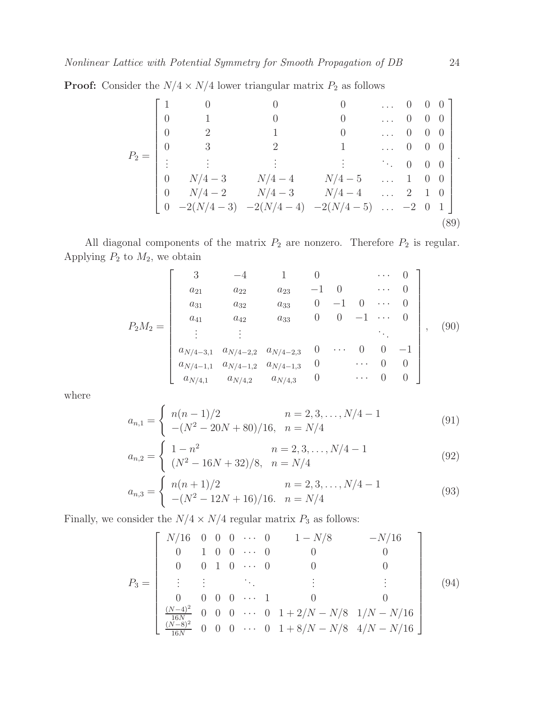**Proof:** Consider the  $N/4 \times N/4$  lower triangular matrix  $P_2$  as follows

$$
P_2 = \begin{bmatrix} 1 & 0 & 0 & 0 & \dots & 0 & 0 & 0 \\ 0 & 1 & 0 & 0 & \dots & 0 & 0 & 0 \\ 0 & 2 & 1 & 0 & \dots & 0 & 0 & 0 \\ 0 & 3 & 2 & 1 & \dots & 0 & 0 & 0 \\ \vdots & \vdots & \vdots & \vdots & \ddots & \vdots & \ddots & 0 & 0 & 0 \\ 0 & N/4 - 3 & N/4 - 4 & N/4 - 5 & \dots & 1 & 0 & 0 \\ 0 & N/4 - 2 & N/4 - 3 & N/4 - 4 & \dots & 2 & 1 & 0 \\ 0 & -2(N/4 - 3) & -2(N/4 - 4) & -2(N/4 - 5) & \dots & -2 & 0 & 1 \end{bmatrix}.
$$
\n(89)

All diagonal components of the matrix  $P_2$  are nonzero. Therefore  $P_2$  is regular. Applying  $P_2$  to  $M_2$ , we obtain

$$
P_2M_2 = \begin{bmatrix} 3 & -4 & 1 & 0 & \cdots & 0 \\ a_{21} & a_{22} & a_{23} & -1 & 0 & \cdots & 0 \\ a_{31} & a_{32} & a_{33} & 0 & -1 & 0 & \cdots & 0 \\ a_{41} & a_{42} & a_{33} & 0 & 0 & -1 & \cdots & 0 \\ \vdots & \vdots & & & & \ddots & \\ a_{N/4-3,1} & a_{N/4-2,2} & a_{N/4-2,3} & 0 & \cdots & 0 & 0 & -1 \\ a_{N/4-1,1} & a_{N/4-1,2} & a_{N/4-1,3} & 0 & \cdots & 0 & 0 \\ a_{N/4,1} & a_{N/4,2} & a_{N/4,3} & 0 & \cdots & 0 & 0 \end{bmatrix},
$$
(90)

where

$$
a_{n,1} = \begin{cases} n(n-1)/2 & n = 2, 3, ..., N/4 - 1 \\ -(N^2 - 20N + 80)/16, & n = N/4 \end{cases}
$$
(91)

$$
a_{n,2} = \begin{cases} 1 - n^2 & n = 2, 3, ..., N/4 - 1 \\ (N^2 - 16N + 32)/8, & n = N/4 \end{cases}
$$
(92)

$$
a_{n,3} = \begin{cases} n(n+1)/2 & n = 2, 3, ..., N/4 - 1 \\ -(N^2 - 12N + 16)/16. & n = N/4 \end{cases}
$$
(93)

Finally, we consider the  $N/4\times N/4$  regular matrix  $P_3$  as follows:

$$
P_3 = \begin{bmatrix} N/16 & 0 & 0 & 0 & \cdots & 0 & 1 - N/8 & -N/16 \\ 0 & 1 & 0 & 0 & \cdots & 0 & 0 & 0 \\ 0 & 0 & 1 & 0 & \cdots & 0 & 0 & 0 \\ \vdots & \vdots & \vdots & \ddots & \vdots & \vdots & \vdots \\ 0 & 0 & 0 & 0 & \cdots & 1 & 0 & 0 \\ \frac{(N-4)^2}{16N} & 0 & 0 & 0 & \cdots & 0 & 1 + 2/N - N/8 & 1/N - N/16 \\ \frac{(N-8)^2}{16N} & 0 & 0 & 0 & \cdots & 0 & 1 + 8/N - N/8 & 4/N - N/16 \end{bmatrix}
$$
(94)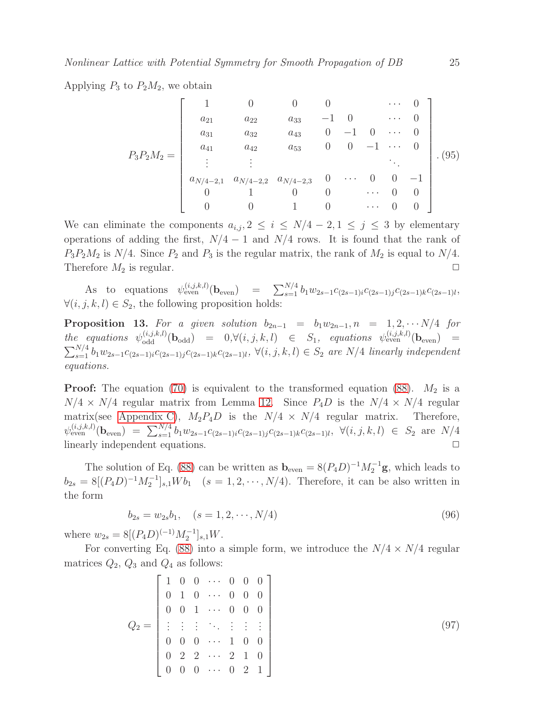Applying  $P_3$  to  $P_2M_2$ , we obtain

$$
P_3 P_2 M_2 = \begin{bmatrix} 1 & 0 & 0 & 0 & \cdots & 0 \\ a_{21} & a_{22} & a_{33} & -1 & 0 & \cdots & 0 \\ a_{31} & a_{32} & a_{43} & 0 & -1 & 0 & \cdots & 0 \\ a_{41} & a_{42} & a_{53} & 0 & 0 & -1 & \cdots & 0 \\ \vdots & \vdots & & & & \ddots & \\ a_{N/4-2,1} & a_{N/4-2,2} & a_{N/4-2,3} & 0 & \cdots & 0 & 0 & -1 \\ 0 & 1 & 0 & 0 & \cdots & 0 & 0 \\ 0 & 0 & 1 & 0 & \cdots & 0 & 0 \end{bmatrix} . (95)
$$

We can eliminate the components  $a_{i,j}$ ,  $2 \leq i \leq N/4 - 2, 1 \leq j \leq 3$  by elementary operations of adding the first,  $N/4 - 1$  and  $N/4$  rows. It is found that the rank of  $P_3P_2M_2$  is  $N/4$ . Since  $P_2$  and  $P_3$  is the regular matrix, the rank of  $M_2$  is equal to  $N/4$ . Therefore  $M_2$  is regular.  $\Box$ 

As to equations  $\psi_{\text{even}}^{(i,j,k,l)}(\mathbf{b}_{\text{even}}) = \sum_{s=1}^{N/4} b_1 w_{2s-1} c_{(2s-1)i} c_{(2s-1)j} c_{(2s-1)k} c_{(2s-1)l}$  $\forall (i, j, k, l) \in S_2$ , the following proposition holds:

<span id="page-24-1"></span>**Proposition 13.** For a given solution  $b_{2n-1} = b_1w_{2n-1}$ ,  $n = 1, 2, \cdots N/4$  for  $the \quad equations \quad \psi_{\text{odd}}^{(i,j,k,l)}(\mathbf{b}_{\text{odd}}) = 0, \forall (i,j,k,l) \quad \in \quad S_1, \quad equations \quad \psi_{\text{even}}^{(i,j,k,l)}(\mathbf{b}_{\text{even}}) =$  $\sum_{s=1}^{N/4} b_1 w_{2s-1} c_{(2s-1)i} c_{(2s-1)j} c_{(2s-1)k} c_{(2s-1)l}$ , ∀(*i*, *j*, *k*, *l*) ∈ S<sub>2</sub> are N/4 *linearly independent equations.*

**Proof:** The equation [\(70\)](#page-20-2) is equivalent to the transformed equation [\(88\)](#page-22-4).  $M_2$  is a  $N/4 \times N/4$  regular matrix from Lemma [12.](#page-22-5) Since  $P_4D$  is the  $N/4 \times N/4$  regular matrix(see [Appendix C\)](#page-31-1),  $M_2P_4D$  is the  $N/4 \times N/4$  regular matrix. Therefore,  $\psi_{\text{even}}^{(i,j,k,l)}(\mathbf{b}_{\text{even}}) = \sum_{s=1}^{N/4} b_1 w_{2s-1} c_{(2s-1)i} c_{(2s-1)j} c_{(2s-1)k} c_{(2s-1)l}, \ \forall (i,j,k,l) \in S_2 \text{ are } N/4$ linearly independent equations.  $\Box$ 

The solution of Eq. [\(88\)](#page-22-4) can be written as  $\mathbf{b}_{\text{even}} = 8(P_4D)^{-1}M_2^{-1}\mathbf{g}$ , which leads to  $b_{2s} = 8[(P_4D)^{-1}M_2^{-1}]_{s,1}Wb_1$   $(s = 1, 2, \cdots, N/4)$ . Therefore, it can be also written in the form

<span id="page-24-0"></span>
$$
b_{2s} = w_{2s}b_1, \quad (s = 1, 2, \cdots, N/4)
$$
\n(96)

where  $w_{2s} = 8[(P_4D)^{(-1)}M_2^{-1}]_{s,1}W$ .

For converting Eq. [\(88\)](#page-22-4) into a simple form, we introduce the  $N/4 \times N/4$  regular matrices  $Q_2$ ,  $Q_3$  and  $Q_4$  as follows:

$$
Q_2 = \begin{bmatrix} 1 & 0 & 0 & \cdots & 0 & 0 & 0 \\ 0 & 1 & 0 & \cdots & 0 & 0 & 0 \\ 0 & 0 & 1 & \cdots & 0 & 0 & 0 \\ \vdots & \vdots & \vdots & \ddots & \vdots & \vdots & \vdots \\ 0 & 0 & 0 & \cdots & 1 & 0 & 0 \\ 0 & 2 & 2 & \cdots & 2 & 1 & 0 \\ 0 & 0 & 0 & \cdots & 0 & 2 & 1 \end{bmatrix}
$$
(97)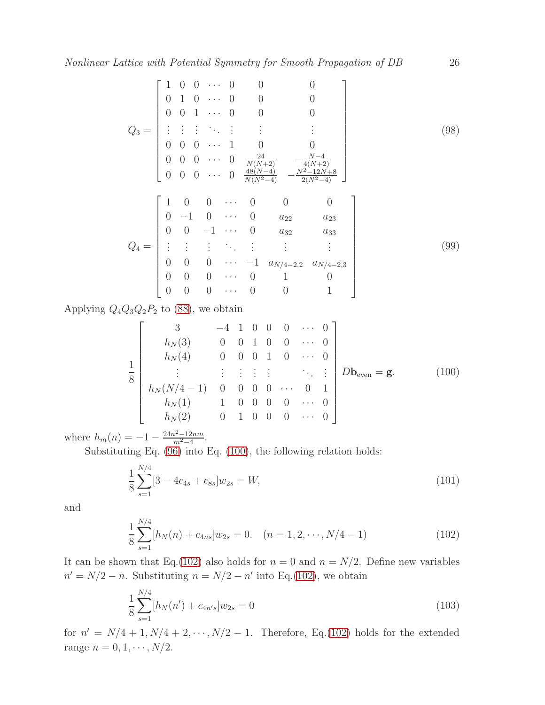$$
Q_3 = \begin{bmatrix} 1 & 0 & 0 & \cdots & 0 & 0 & 0 & 0 \\ 0 & 1 & 0 & \cdots & 0 & 0 & 0 & 0 \\ 0 & 0 & 1 & \cdots & 0 & 0 & 0 & 0 \\ \vdots & \vdots & \vdots & \ddots & \vdots & \vdots & & \vdots & \vdots \\ 0 & 0 & 0 & \cdots & 1 & 0 & 0 \\ 0 & 0 & 0 & \cdots & 0 & \frac{24}{N(N+2)} & -\frac{N-4}{4(N+2)} \\ 0 & 0 & 0 & \cdots & 0 & \frac{48(N-4)}{N(N^2-4)} & -\frac{N^2-12N+8}{2(N^2-4)} \end{bmatrix}
$$
(98)  

$$
Q_4 = \begin{bmatrix} 1 & 0 & 0 & \cdots & 0 & 0 & 0 \\ 0 & -1 & 0 & \cdots & 0 & a_{22} & a_{23} \\ 0 & 0 & -1 & \cdots & 0 & a_{32} & a_{33} \\ \vdots & \vdots & \vdots & \ddots & \vdots & \vdots & \vdots \\ 0 & 0 & 0 & \cdots & -1 & a_{N/4-2,2} & a_{N/4-2,3} \\ 0 & 0 & 0 & \cdots & 0 & 1 & 0 \\ 0 & 0 & 0 & \cdots & 0 & 0 & 1 \end{bmatrix}
$$
(99)

Applying  $Q_4Q_3Q_2P_2$  to [\(88\)](#page-22-4), we obtain

<span id="page-25-0"></span>
$$
\frac{1}{8} \begin{bmatrix} 3 & -4 & 1 & 0 & 0 & 0 & \cdots & 0 \\ h_N(3) & 0 & 0 & 1 & 0 & 0 & \cdots & 0 \\ h_N(4) & 0 & 0 & 0 & 1 & 0 & \cdots & 0 \\ \vdots & \vdots & \vdots & \vdots & \vdots & \ddots & \vdots \\ h_N(N/4-1) & 0 & 0 & 0 & 0 & \cdots & 0 & 1 \\ h_N(1) & 1 & 0 & 0 & 0 & \cdots & 0 \\ h_N(2) & 0 & 1 & 0 & 0 & 0 & \cdots & 0 \end{bmatrix} Db_{even} = g.
$$
 (100)

where  $h_m(n) = -1 - \frac{24n^2 - 12nm}{m^2 - 4}$  $\frac{n^2-12nm}{m^2-4}$ .

Substituting Eq. [\(96\)](#page-24-0) into Eq. [\(100\)](#page-25-0), the following relation holds:

<span id="page-25-2"></span>
$$
\frac{1}{8} \sum_{s=1}^{N/4} [3 - 4c_{4s} + c_{8s}] w_{2s} = W,
$$
\n(101)

and

<span id="page-25-1"></span>
$$
\frac{1}{8} \sum_{s=1}^{N/4} [h_N(n) + c_{4ns}] w_{2s} = 0. \quad (n = 1, 2, \cdots, N/4 - 1)
$$
 (102)

It can be shown that Eq.[\(102\)](#page-25-1) also holds for  $n = 0$  and  $n = N/2$ . Define new variables  $n' = N/2 - n$ . Substituting  $n = N/2 - n'$  into Eq.[\(102\)](#page-25-1), we obtain

$$
\frac{1}{8} \sum_{s=1}^{N/4} [h_N(n') + c_{4n's}] w_{2s} = 0
$$
\n(103)

for  $n' = N/4 + 1, N/4 + 2, \dots, N/2 - 1$ . Therefore, Eq.[\(102\)](#page-25-1) holds for the extended range  $n = 0, 1, \dots, N/2$ .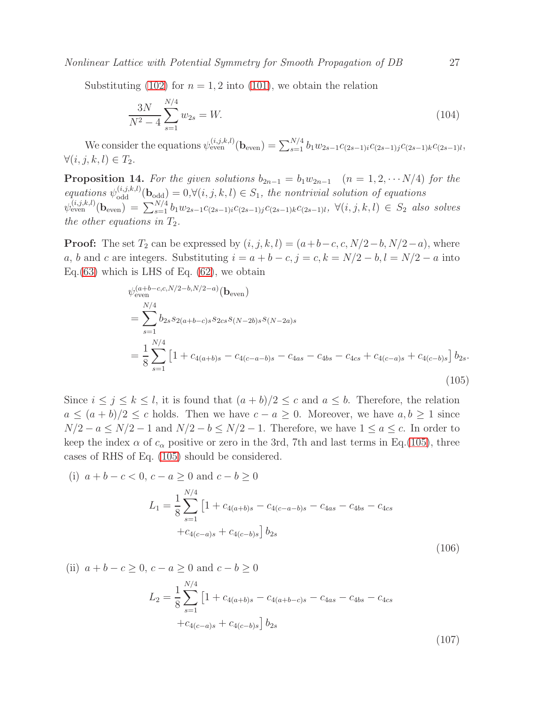Substituting [\(102\)](#page-25-1) for  $n = 1, 2$  into [\(101\)](#page-25-2), we obtain the relation

<span id="page-26-2"></span>
$$
\frac{3N}{N^2 - 4} \sum_{s=1}^{N/4} w_{2s} = W.
$$
\n(104)

We consider the equations  $\psi_{\text{even}}^{(i,j,k,l)}(\mathbf{b}_{\text{even}}) = \sum_{s=1}^{N/4} b_1 w_{2s-1} c_{(2s-1)i} c_{(2s-1)j} c_{(2s-1)k} c_{(2s-1)l}$  $\forall (i, j, k, l) \in T_2.$ 

<span id="page-26-3"></span>**Proposition 14.** For the given solutions  $b_{2n-1} = b_1w_{2n-1}$   $(n = 1, 2, \cdots N/4)$  for the  $equations \psi_{\text{odd}}^{(i,j,k,l)}(\mathbf{b}_{\text{odd}}) = 0, \forall (i,j,k,l) \in S_1$ , the nontrivial solution of equations  $\psi_{\text{even}}^{(i,j,k,l)}(\mathbf{b}_{\text{even}}) = \sum_{s=1}^{N/4} b_1 w_{2s-1} c_{(2s-1)i} c_{(2s-1)j} c_{(2s-1)k} c_{(2s-1)l}, \ \forall (i,j,k,l) \in S_2 \text{ also solves }$ *the other equations in*  $T_2$ *.* 

**Proof:** The set  $T_2$  can be expressed by  $(i, j, k, l) = (a+b-c, c, N/2-b, N/2-a)$ , where a, b and c are integers. Substituting  $i = a + b - c$ ,  $j = c$ ,  $k = N/2 - b$ ,  $l = N/2 - a$  into Eq.  $(63)$  which is LHS of Eq.  $(62)$ , we obtain

<span id="page-26-0"></span>
$$
\psi_{\text{even}}^{(a+b-c,c,N/2-b,N/2-a)}(\mathbf{b}_{\text{even}})
$$
\n
$$
= \sum_{s=1}^{N/4} b_{2s} s_{2(a+b-c)s} s_{2cs} s_{(N-2b)s} s_{(N-2a)s}
$$
\n
$$
= \frac{1}{8} \sum_{s=1}^{N/4} \left[ 1 + c_{4(a+b)s} - c_{4(c-a-b)s} - c_{4as} - c_{4bs} - c_{4cs} + c_{4(c-a)s} + c_{4(c-b)s} \right] b_{2s}.
$$
\n(105)

Since  $i \leq j \leq k \leq l$ , it is found that  $(a + b)/2 \leq c$  and  $a \leq b$ . Therefore, the relation  $a \leq (a + b)/2 \leq c$  holds. Then we have  $c - a \geq 0$ . Moreover, we have  $a, b \geq 1$  since  $N/2 - a \le N/2 - 1$  and  $N/2 - b \le N/2 - 1$ . Therefore, we have  $1 \le a \le c$ . In order to keep the index  $\alpha$  of  $c_{\alpha}$  positive or zero in the 3rd, 7th and last terms in Eq.[\(105\)](#page-26-0), three cases of RHS of Eq. [\(105\)](#page-26-0) should be considered.

(i) 
$$
a + b - c < 0
$$
,  $c - a \ge 0$  and  $c - b \ge 0$   
\n
$$
L_1 = \frac{1}{8} \sum_{s=1}^{N/4} \left[ 1 + c_{4(a+b)s} - c_{4(c-a-b)s} - c_{4as} - c_{4bs} - c_{4cs} + c_{4(c-a)s} + c_{4(c-b)s} \right] b_{2s}
$$
\n(106)

(ii) 
$$
a + b - c \ge 0
$$
,  $c - a \ge 0$  and  $c - b \ge 0$ 

<span id="page-26-1"></span>
$$
L_2 = \frac{1}{8} \sum_{s=1}^{N/4} \left[ 1 + c_{4(a+b)s} - c_{4(a+b-c)s} - c_{4as} - c_{4bs} - c_{4cs} \right. \left. + c_{4(c-a)s} + c_{4(c-b)s} \right] b_{2s}
$$
\n(107)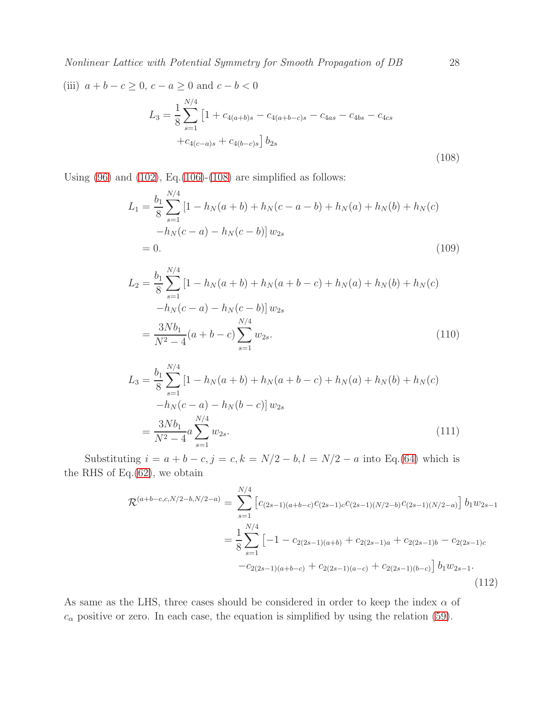(iii) 
$$
a + b - c \ge 0
$$
,  $c - a \ge 0$  and  $c - b < 0$   

$$
L_3 = \frac{1}{8} \sum_{s=1}^{N/4} \left[ 1 + c_{4(a+b)s} - c_{4(a+b-c)s} - c_{4as} - c_{4bs} - c_{4cs} + c_{4(c-a)s} + c_{4(b-c)s} \right] b_{2s}
$$
(108)

Using  $(96)$  and  $(102)$ , Eq. $(106)-(108)$  $(106)-(108)$  $(106)-(108)$  are simplified as follows:

<span id="page-27-0"></span>
$$
L_1 = \frac{b_1}{8} \sum_{s=1}^{N/4} \left[ 1 - h_N(a+b) + h_N(c-a-b) + h_N(a) + h_N(b) + h_N(c) -h_N(c-a) - h_N(c-b) \right] w_{2s}
$$
  
= 0. (109)

$$
L_2 = \frac{b_1}{8} \sum_{s=1}^{N/4} \left[ 1 - h_N(a+b) + h_N(a+b-c) + h_N(a) + h_N(b) + h_N(c) -h_N(c-a) - h_N(c-b) \right] w_{2s}
$$
  
= 
$$
\frac{3Nb_1}{N^2 - 4} (a+b-c) \sum_{s=1}^{N/4} w_{2s}.
$$
 (110)

$$
L_3 = \frac{b_1}{8} \sum_{s=1}^{N/4} \left[ 1 - h_N(a+b) + h_N(a+b-c) + h_N(a) + h_N(b) + h_N(c) -h_N(c-a) - h_N(b-c) \right] w_{2s}
$$
  
= 
$$
\frac{3Nb_1}{N^2 - 4} a \sum_{s=1}^{N/4} w_{2s}.
$$
 (111)

Substituting  $i = a + b - c, j = c, k = N/2 - b, l = N/2 - a$  into Eq.[\(64\)](#page-19-2) which is the RHS of Eq. $(62)$ , we obtain

$$
\mathcal{R}^{(a+b-c,c,N/2-b,N/2-a)} = \sum_{s=1}^{N/4} \left[ c_{(2s-1)(a+b-c)} c_{(2s-1)c} c_{(2s-1)(N/2-b)} c_{(2s-1)(N/2-a)} \right] b_1 w_{2s-1}
$$
  

$$
= \frac{1}{8} \sum_{s=1}^{N/4} \left[ -1 - c_{2(2s-1)(a+b)} + c_{2(2s-1)a} + c_{2(2s-1)b} - c_{2(2s-1)c} -c_{2(2s-1)(a+b-c)} + c_{2(2s-1)(a-c)} + c_{2(2s-1)(b-c)} \right] b_1 w_{2s-1}.
$$
\n(112)

As same as the LHS, three cases should be considered in order to keep the index  $\alpha$  of  $c_{\alpha}$  positive or zero. In each case, the equation is simplified by using the relation [\(59\)](#page-18-3).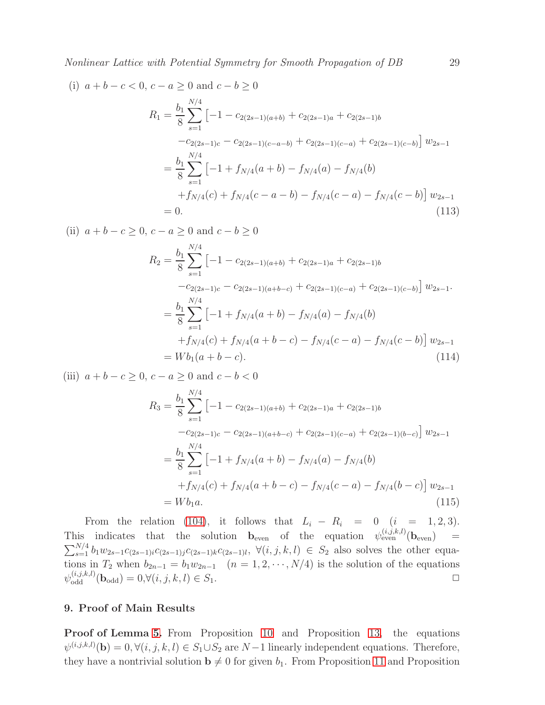(i) 
$$
a + b - c < 0
$$
,  $c - a \ge 0$  and  $c - b \ge 0$   
\n
$$
R_1 = \frac{b_1}{8} \sum_{s=1}^{N/4} \left[ -1 - c_{2(2s-1)(a+b)} + c_{2(2s-1)a} + c_{2(2s-1)b} - c_{2(2s-1)c} - c_{2(2s-1)(c-a-b)} + c_{2(2s-1)(c-a)} + c_{2(2s-1)(c-b)} \right] w_{2s-1}
$$
\n
$$
= \frac{b_1}{8} \sum_{s=1}^{N/4} \left[ -1 + f_{N/4}(a+b) - f_{N/4}(a) - f_{N/4}(b) + f_{N/4}(c) + f_{N/4}(c-a-b) - f_{N/4}(c-a) - f_{N/4}(c-b) \right] w_{2s-1}
$$
\n
$$
= 0.
$$
\n(113)

(ii)  $a + b - c \ge 0$ ,  $c - a \ge 0$  and  $c - b \ge 0$ 

$$
R_2 = \frac{b_1}{8} \sum_{s=1}^{N/4} \left[ -1 - c_{2(2s-1)(a+b)} + c_{2(2s-1)a} + c_{2(2s-1)b} -c_{2(2s-1)c} - c_{2(2s-1)(a+b-c)} + c_{2(2s-1)(c-a)} + c_{2(2s-1)(c-b)} \right] w_{2s-1}.
$$
  

$$
= \frac{b_1}{8} \sum_{s=1}^{N/4} \left[ -1 + f_{N/4}(a+b) - f_{N/4}(a) - f_{N/4}(b) -f_{N/4}(b) +f_{N/4}(c) + f_{N/4}(a+b-c) - f_{N/4}(c-a) - f_{N/4}(c-b) \right] w_{2s-1}
$$
  

$$
= Wb_1(a+b-c).
$$
 (114)

(iii)  $a + b - c > 0$ ,  $c - a > 0$  and  $c - b < 0$ 

$$
R_3 = \frac{b_1}{8} \sum_{s=1}^{N/4} \left[ -1 - c_{2(2s-1)(a+b)} + c_{2(2s-1)a} + c_{2(2s-1)b} -c_{2(2s-1)c} - c_{2(2s-1)(a+b-c)} + c_{2(2s-1)(c-a)} + c_{2(2s-1)(b-c)} \right] w_{2s-1}
$$
  
= 
$$
\frac{b_1}{8} \sum_{s=1}^{N/4} \left[ -1 + f_{N/4}(a+b) - f_{N/4}(a) - f_{N/4}(b) -f_{N/4}(b) -f_{N/4}(c-a) -f_{N/4}(b-c) \right] w_{2s-1}
$$
  
= 
$$
Wb_1a.
$$
 (115)

From the relation [\(104\)](#page-26-2), it follows that  $L_i - R_i = 0$   $(i = 1, 2, 3)$ . This indicates that the solution  $\mathbf{b}_{even}$  of the equation  $\psi_{even}^{(i,j,k,l)}(\mathbf{b}_{even})$  =  $\sum_{s=1}^{N/4} b_1 w_{2s-1} c_{(2s-1)i} c_{(2s-1)j} c_{(2s-1)k} c_{(2s-1)l}, \ \forall (i, j, k, l) \in S_2$  also solves the other equations in  $T_2$  when  $b_{2n-1} = b_1w_{2n-1}$   $(n = 1, 2, \cdots, N/4)$  is the solution of the equations  $\psi_{\text{odd}}^{(i,j,k,l)}(\mathbf{b}_{\text{odd}}) = 0, \forall (i,j,k,l) \in S_1.$ 

# <span id="page-28-0"></span>9. Proof of Main Results

Proof of Lemma [5.](#page-6-1) From Proposition [10](#page-18-4) and Proposition [13,](#page-24-1) the equations  $\psi^{(i,j,k,l)}(\mathbf{b}) = 0, \forall (i,j,k,l) \in S_1 \cup S_2$  are  $N-1$  linearly independent equations. Therefore, they have a nontrivial solution  $\mathbf{b} \neq 0$  for given  $b_1$ . From Proposition [11](#page-18-5) and Proposition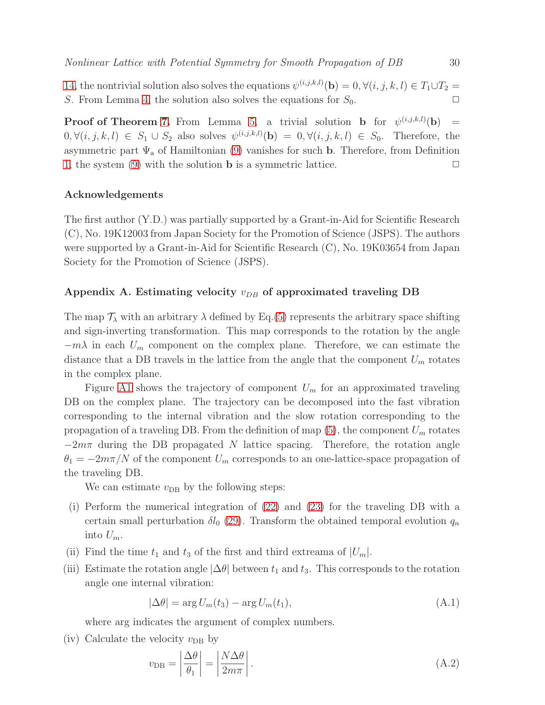[14,](#page-26-3) the nontrivial solution also solves the equations  $\psi^{(i,j,k,l)}(\mathbf{b}) = 0, \forall (i,j,k,l) \in T_1 \cup T_2 =$ S. From Lemma [4,](#page-6-0) the solution also solves the equations for  $S_0$ .

**Proof of Theorem [7.](#page-7-3)** From Lemma [5,](#page-6-1) a trivial solution **b** for  $\psi^{(i,j,k,l)}(\mathbf{b})$  =  $0, \forall (i, j, k, l) \in S_1 \cup S_2$  also solves  $\psi^{(i, j, k, l)}(\mathbf{b}) = 0, \forall (i, j, k, l) \in S_0$ . Therefore, the asymmetric part  $\Psi_a$  of Hamiltonian [\(9\)](#page-4-2) vanishes for such **b**. Therefore, from Definition [1,](#page-4-4) the system [\(9\)](#page-4-2) with the solution **b** is a symmetric lattice.  $\Box$ 

## Acknowledgements

The first author (Y.D.) was partially supported by a Grant-in-Aid for Scientific Research (C), No. 19K12003 from Japan Society for the Promotion of Science (JSPS). The authors were supported by a Grant-in-Aid for Scientific Research (C), No. 19K03654 from Japan Society for the Promotion of Science (JSPS).

# <span id="page-29-0"></span>Appendix A. Estimating velocity  $v_{DB}$  of approximated traveling DB

The map  $\mathcal{T}_{\lambda}$  with an arbitrary  $\lambda$  defined by Eq.[\(5\)](#page-3-6) represents the arbitrary space shifting and sign-inverting transformation. This map corresponds to the rotation by the angle  $-m\lambda$  in each  $U_m$  component on the complex plane. Therefore, we can estimate the distance that a DB travels in the lattice from the angle that the component  $U_m$  rotates in the complex plane.

Figure [A1](#page-30-1) shows the trajectory of component  $U_m$  for an approximated traveling DB on the complex plane. The trajectory can be decomposed into the fast vibration corresponding to the internal vibration and the slow rotation corresponding to the propagation of a traveling DB. From the definition of map  $(5)$ , the component  $U_m$  rotates  $-2m\pi$  during the DB propagated N lattice spacing. Therefore, the rotation angle  $\theta_1 = -2m\pi/N$  of the component  $U_m$  corresponds to an one-lattice-space propagation of the traveling DB.

We can estimate  $v_{DB}$  by the following steps:

- (i) Perform the numerical integration of [\(22\)](#page-7-2) and [\(23\)](#page-7-2) for the traveling DB with a certain small perturbation  $\delta l_0$  [\(29\)](#page-8-3). Transform the obtained temporal evolution  $q_n$ into  $U_m$ .
- (ii) Find the time  $t_1$  and  $t_3$  of the first and third extreama of  $|U_m|$ .
- (iii) Estimate the rotation angle  $|\Delta\theta|$  between  $t_1$  and  $t_3$ . This corresponds to the rotation angle one internal vibration:

$$
|\Delta \theta| = \arg U_m(t_3) - \arg U_m(t_1), \tag{A.1}
$$

where arg indicates the argument of complex numbers.

(iv) Calculate the velocity  $v_{DB}$  by

$$
v_{\rm DB} = \left| \frac{\Delta \theta}{\theta_1} \right| = \left| \frac{N \Delta \theta}{2m\pi} \right|.
$$
\n(A.2)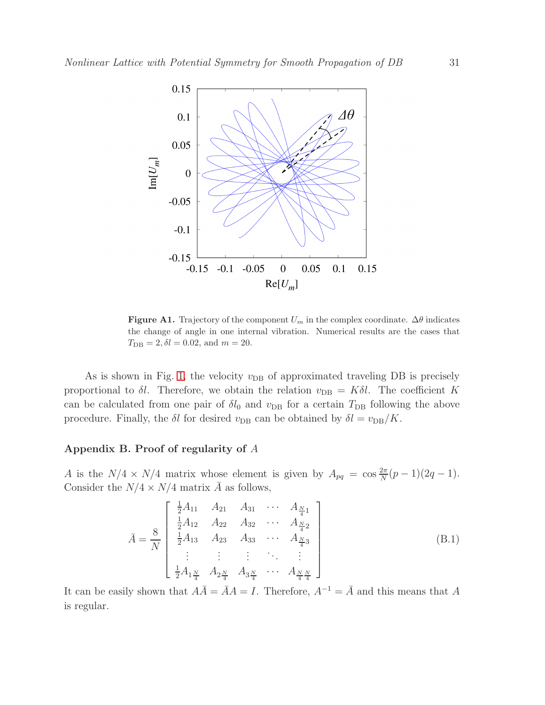

<span id="page-30-1"></span>**Figure A1.** Trajectory of the component  $U_m$  in the complex coordinate.  $\Delta\theta$  indicates the change of angle in one internal vibration. Numerical results are the cases that  $T_{\text{DB}} = 2, \delta l = 0.02, \text{ and } m = 20.$ 

As is shown in Fig. [1,](#page-12-0) the velocity  $v_{DB}$  of approximated traveling DB is precisely proportional to  $\delta l$ . Therefore, we obtain the relation  $v_{DB} = K \delta l$ . The coefficient K can be calculated from one pair of  $\delta l_0$  and  $v_{\text{DB}}$  for a certain  $T_{\text{DB}}$  following the above procedure. Finally, the  $\delta l$  for desired  $v_{\text{DB}}$  can be obtained by  $\delta l = v_{\text{DB}}/K$ .

## <span id="page-30-0"></span>Appendix B. Proof of regularity of A

A is the  $N/4 \times N/4$  matrix whose element is given by  $A_{pq} = \cos \frac{2\pi}{N}(p-1)(2q-1)$ . Consider the  $N/4 \times N/4$  matrix  $\overline{A}$  as follows,

$$
\bar{A} = \frac{8}{N} \begin{bmatrix} \frac{1}{2}A_{11} & A_{21} & A_{31} & \cdots & A_{\frac{N}{4}1} \\ \frac{1}{2}A_{12} & A_{22} & A_{32} & \cdots & A_{\frac{N}{4}2} \\ \frac{1}{2}A_{13} & A_{23} & A_{33} & \cdots & A_{\frac{N}{4}3} \\ \vdots & \vdots & \vdots & \ddots & \vdots \\ \frac{1}{2}A_{1\frac{N}{4}} & A_{2\frac{N}{4}} & A_{3\frac{N}{4}} & \cdots & A_{\frac{N}{4}\frac{N}{4}} \end{bmatrix}
$$
(B.1)

It can be easily shown that  $A\overline{A} = \overline{A}A = I$ . Therefore,  $A^{-1} = \overline{A}$  and this means that A is regular.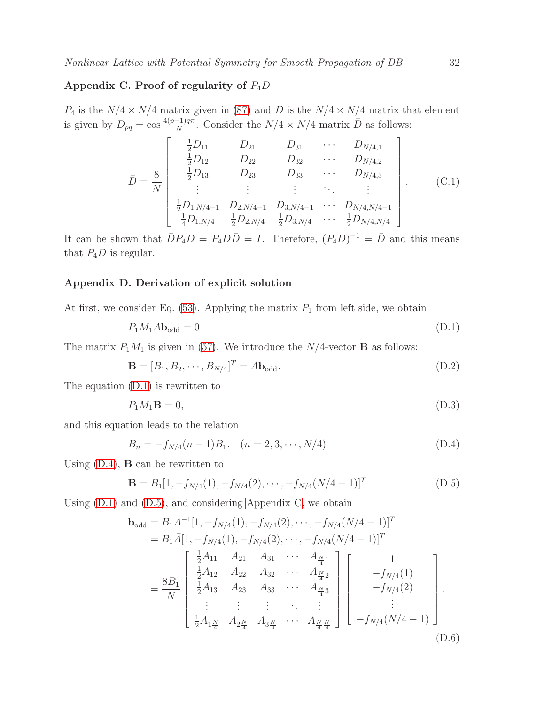# <span id="page-31-1"></span>Appendix C. Proof of regularity of  $P_4D$

 $P_4$  is the  $N/4 \times N/4$  matrix given in [\(87\)](#page-22-6) and D is the  $N/4 \times N/4$  matrix that element is given by  $D_{pq} = \cos \frac{4(p-1)q\pi}{N}$  $\frac{-1}{N}$ . Consider the  $N/4 \times N/4$  matrix  $\bar{D}$  as follows:

$$
\bar{D} = \frac{8}{N} \begin{bmatrix} \frac{1}{2}D_{11} & D_{21} & D_{31} & \cdots & D_{N/4,1} \\ \frac{1}{2}D_{12} & D_{22} & D_{32} & \cdots & D_{N/4,2} \\ \frac{1}{2}D_{13} & D_{23} & D_{33} & \cdots & D_{N/4,3} \\ \vdots & \vdots & \vdots & \ddots & \vdots \\ \frac{1}{2}D_{1,N/4-1} & D_{2,N/4-1} & D_{3,N/4-1} & \cdots & D_{N/4,N/4-1} \\ \frac{1}{4}D_{1,N/4} & \frac{1}{2}D_{2,N/4} & \frac{1}{2}D_{3,N/4} & \cdots & \frac{1}{2}D_{N/4,N/4} \end{bmatrix} .
$$
 (C.1)

It can be shown that  $\overline{D}P_4D = P_4D\overline{D} = I$ . Therefore,  $(P_4D)^{-1} = \overline{D}$  and this means that  $P_4D$  is regular.

#### <span id="page-31-0"></span>Appendix D. Derivation of explicit solution

At first, we consider Eq.  $(53)$ . Applying the matrix  $P_1$  from left side, we obtain

<span id="page-31-2"></span>
$$
P_1 M_1 A \mathbf{b}_{\text{odd}} = 0 \tag{D.1}
$$

The matrix  $P_1M_1$  is given in [\(57\)](#page-18-0). We introduce the N/4-vector **B** as follows:

<span id="page-31-5"></span>
$$
\mathbf{B} = [B_1, B_2, \cdots, B_{N/4}]^T = A\mathbf{b}_{\text{odd}}.\tag{D.2}
$$

The equation [\(D.1\)](#page-31-2) is rewritten to

$$
P_1M_1\mathbf{B} = 0,\tag{D.3}
$$

and this equation leads to the relation

<span id="page-31-3"></span>
$$
B_n = -f_{N/4}(n-1)B_1. \quad (n = 2, 3, \cdots, N/4)
$$
\n(D.4)

Using  $(D.4)$ , **B** can be rewritten to

<span id="page-31-4"></span>
$$
\mathbf{B} = B_1[1, -f_{N/4}(1), -f_{N/4}(2), \cdots, -f_{N/4}(N/4-1)]^T.
$$
 (D.5)

Using  $(D.1)$  and  $(D.5)$ , and considering [Appendix C,](#page-31-1) we obtain

$$
\mathbf{b}_{\text{odd}} = B_1 A^{-1} [1, -f_{N/4}(1), -f_{N/4}(2), \cdots, -f_{N/4}(N/4-1)]^T
$$
\n
$$
= B_1 \bar{A} [1, -f_{N/4}(1), -f_{N/4}(2), \cdots, -f_{N/4}(N/4-1)]^T
$$
\n
$$
= \frac{8B_1}{N} \begin{bmatrix} \frac{1}{2}A_{11} & A_{21} & A_{31} & \cdots & A_{\frac{N}{4}1} \\ \frac{1}{2}A_{12} & A_{22} & A_{32} & \cdots & A_{\frac{N}{4}2} \\ \frac{1}{2}A_{13} & A_{23} & A_{33} & \cdots & A_{\frac{N}{4}3} \\ \vdots & \vdots & \vdots & \ddots & \vdots \\ \frac{1}{2}A_{1\frac{N}{4}} & A_{2\frac{N}{4}} & A_{3\frac{N}{4}} & \cdots & A_{\frac{N}{4}\frac{N}{4}} \end{bmatrix} \begin{bmatrix} 1 \\ -f_{N/4}(1) \\ -f_{N/4}(2) \\ \vdots \\ -f_{N/4}(N/4-1) \end{bmatrix}.
$$
\n(D.6)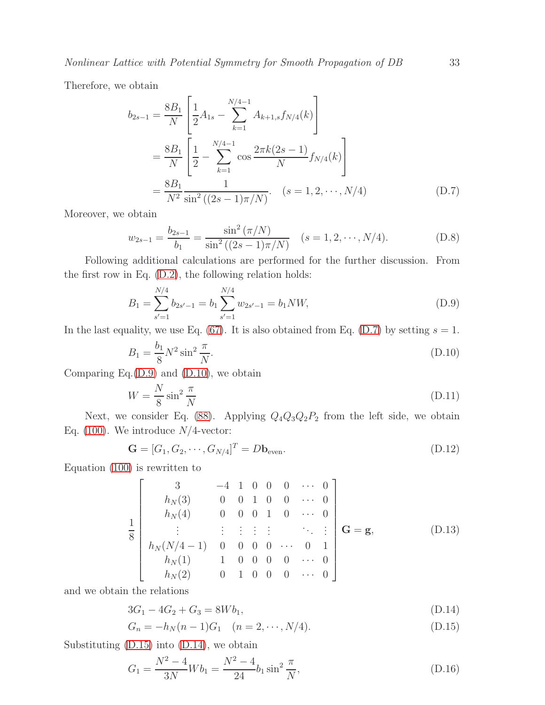Therefore, we obtain

<span id="page-32-0"></span>
$$
b_{2s-1} = \frac{8B_1}{N} \left[ \frac{1}{2} A_{1s} - \sum_{k=1}^{N/4-1} A_{k+1,s} f_{N/4}(k) \right]
$$
  
=  $\frac{8B_1}{N} \left[ \frac{1}{2} - \sum_{k=1}^{N/4-1} \cos \frac{2\pi k (2s-1)}{N} f_{N/4}(k) \right]$   
=  $\frac{8B_1}{N^2} \frac{1}{\sin^2 ((2s-1)\pi/N)}$ .  $(s = 1, 2, \dots, N/4)$  (D.7)

Moreover, we obtain

<span id="page-32-7"></span>
$$
w_{2s-1} = \frac{b_{2s-1}}{b_1} = \frac{\sin^2(\pi/N)}{\sin^2((2s-1)\pi/N)} \quad (s = 1, 2, \cdots, N/4). \tag{D.8}
$$

Following additional calculations are performed for the further discussion. From the first row in Eq. [\(D.2\)](#page-31-5), the following relation holds:

<span id="page-32-1"></span>
$$
B_1 = \sum_{s'=1}^{N/4} b_{2s'-1} = b_1 \sum_{s'=1}^{N/4} w_{2s'-1} = b_1 NW,
$$
\n(D.9)

In the last equality, we use Eq. [\(67\)](#page-20-3). It is also obtained from Eq. [\(D.7\)](#page-32-0) by setting  $s = 1$ .

<span id="page-32-2"></span>
$$
B_1 = \frac{b_1}{8} N^2 \sin^2 \frac{\pi}{N}.
$$
 (D.10)

Comparing Eq.[\(D.9\)](#page-32-1) and [\(D.10\)](#page-32-2), we obtain

<span id="page-32-4"></span>
$$
W = \frac{N}{8}\sin^2\frac{\pi}{N}
$$
 (D.11)

Next, we consider Eq. [\(88\)](#page-22-4). Applying  $Q_4Q_3Q_2P_2$  from the left side, we obtain Eq. [\(100\)](#page-25-0). We introduce  $N/4$ -vector:

<span id="page-32-5"></span>
$$
\mathbf{G} = [G_1, G_2, \cdots, G_{N/4}]^T = D\mathbf{b}_{\text{even}}.
$$
\n(D.12)

Equation [\(100\)](#page-25-0) is rewritten to

$$
\frac{1}{8} \begin{bmatrix} 3 & -4 & 1 & 0 & 0 & 0 & \cdots & 0 \\ h_N(3) & 0 & 0 & 1 & 0 & 0 & \cdots & 0 \\ h_N(4) & 0 & 0 & 0 & 1 & 0 & \cdots & 0 \\ \vdots & \vdots & \vdots & \vdots & \vdots & \ddots & \vdots \\ h_N(N/4-1) & 0 & 0 & 0 & 0 & \cdots & 0 & 1 \\ h_N(1) & 1 & 0 & 0 & 0 & \cdots & 0 \\ h_N(2) & 0 & 1 & 0 & 0 & 0 & \cdots & 0 \end{bmatrix} \mathbf{G} = \mathbf{g}, \qquad (D.13)
$$

and we obtain the relations

<span id="page-32-3"></span>
$$
3G_1 - 4G_2 + G_3 = 8Wb_1, \tag{D.14}
$$

$$
G_n = -h_N(n-1)G_1 \quad (n = 2, \cdots, N/4). \tag{D.15}
$$

Substituting [\(D.15\)](#page-32-3) into [\(D.14\)](#page-32-3), we obtain

<span id="page-32-6"></span>
$$
G_1 = \frac{N^2 - 4}{3N} W b_1 = \frac{N^2 - 4}{24} b_1 \sin^2 \frac{\pi}{N},
$$
\n(D.16)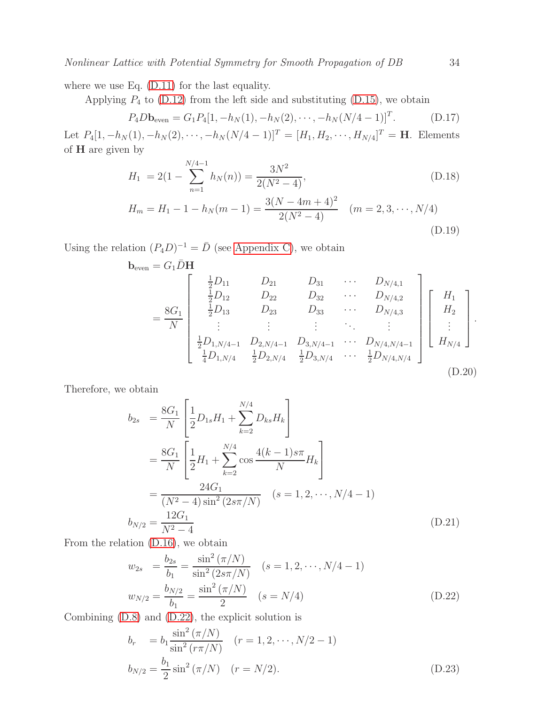where we use Eq. [\(D.11\)](#page-32-4) for the last equality.

Applying  $P_4$  to [\(D.12\)](#page-32-5) from the left side and substituting [\(D.15\)](#page-32-3), we obtain

$$
P_4 D \mathbf{b}_{\text{even}} = G_1 P_4 [1, -h_N(1), -h_N(2), \cdots, -h_N(N/4-1)]^T.
$$
 (D.17)

Let  $P_4[1, -h_N(1), -h_N(2), \cdots, -h_N(N/4-1)]^T = [H_1, H_2, \cdots, H_{N/4}]^T = \mathbf{H}$ . Elements of H are given by

$$
H_1 = 2(1 - \sum_{n=1}^{N/4-1} h_N(n)) = \frac{3N^2}{2(N^2 - 4)},
$$
\n(D.18)

$$
H_m = H_1 - 1 - h_N(m - 1) = \frac{3(N - 4m + 4)^2}{2(N^2 - 4)} \quad (m = 2, 3, \cdots, N/4)
$$
\n(D.19)

Using the relation  $(P_4D)^{-1} = \overline{D}$  (see [Appendix C\)](#page-31-1), we obtain

$$
\mathbf{b}_{\text{even}} = G_1 \bar{D} \mathbf{H}
$$
\n
$$
= \frac{8G_1}{N} \begin{bmatrix} \frac{1}{2}D_{11} & D_{21} & D_{31} & \cdots & D_{N/4,1} \\ \frac{1}{2}D_{12} & D_{22} & D_{32} & \cdots & D_{N/4,2} \\ \frac{1}{2}D_{13} & D_{23} & D_{33} & \cdots & D_{N/4,3} \\ \vdots & \vdots & \vdots & \ddots & \vdots \\ \frac{1}{2}D_{1,N/4-1} & D_{2,N/4-1} & D_{3,N/4-1} & \cdots & D_{N/4,N/4-1} \\ \frac{1}{4}D_{1,N/4} & \frac{1}{2}D_{2,N/4} & \frac{1}{2}D_{3,N/4} & \cdots & \frac{1}{2}D_{N/4,N/4} \end{bmatrix} \begin{bmatrix} H_1 \\ H_2 \\ \vdots \\ H_{N/4} \end{bmatrix}.
$$
\n(D.20)

Therefore, we obtain

$$
b_{2s} = \frac{8G_1}{N} \left[ \frac{1}{2} D_{1s} H_1 + \sum_{k=2}^{N/4} D_{ks} H_k \right]
$$
  
=  $\frac{8G_1}{N} \left[ \frac{1}{2} H_1 + \sum_{k=2}^{N/4} \cos \frac{4(k-1)s\pi}{N} H_k \right]$   
=  $\frac{24G_1}{(N^2 - 4) \sin^2 (2s\pi/N)}$   $(s = 1, 2, \dots, N/4 - 1)$   
 $b_{N/2} = \frac{12G_1}{N^2 - 4}$  (D.21)

From the relation [\(D.16\)](#page-32-6), we obtain

<span id="page-33-0"></span>
$$
w_{2s} = \frac{b_{2s}}{b_1} = \frac{\sin^2(\pi/N)}{\sin^2(2s\pi/N)} \quad (s = 1, 2, \cdots, N/4 - 1)
$$

$$
w_{N/2} = \frac{b_{N/2}}{b_1} = \frac{\sin^2(\pi/N)}{2} \quad (s = N/4)
$$
(D.22)

Combining [\(D.8\)](#page-32-7) and [\(D.22\)](#page-33-0), the explicit solution is

$$
b_r = b_1 \frac{\sin^2 (\pi/N)}{\sin^2 (r\pi/N)} \quad (r = 1, 2, \cdots, N/2 - 1)
$$
  

$$
b_{N/2} = \frac{b_1}{2} \sin^2 (\pi/N) \quad (r = N/2).
$$
 (D.23)